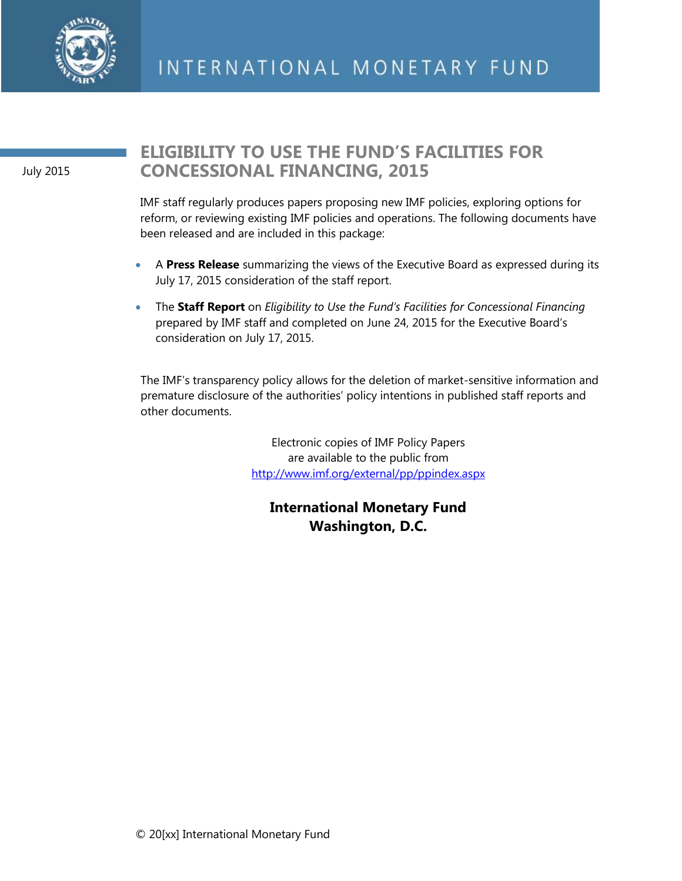

July 2015

## **ELIGIBILITY TO USE THE FUND'S FACILITIES FOR CONCESSIONAL FINANCING, 2015**

IMF staff regularly produces papers proposing new IMF policies, exploring options for reform, or reviewing existing IMF policies and operations. The following documents have been released and are included in this package:

- A **Press Release** summarizing the views of the Executive Board as expressed during its July 17, 2015 consideration of the staff report.
- The **Staff Report** on *Eligibility to Use the Fund's Facilities for Concessional Financing* prepared by IMF staff and completed on June 24, 2015 for the Executive Board's consideration on July 17, 2015.

The IMF's transparency policy allows for the deletion of market-sensitive information and premature disclosure of the authorities' policy intentions in published staff reports and other documents.

> Electronic copies of IMF Policy Papers are available to the public from <http://www.imf.org/external/pp/ppindex.aspx>

**International Monetary Fund Washington, D.C.**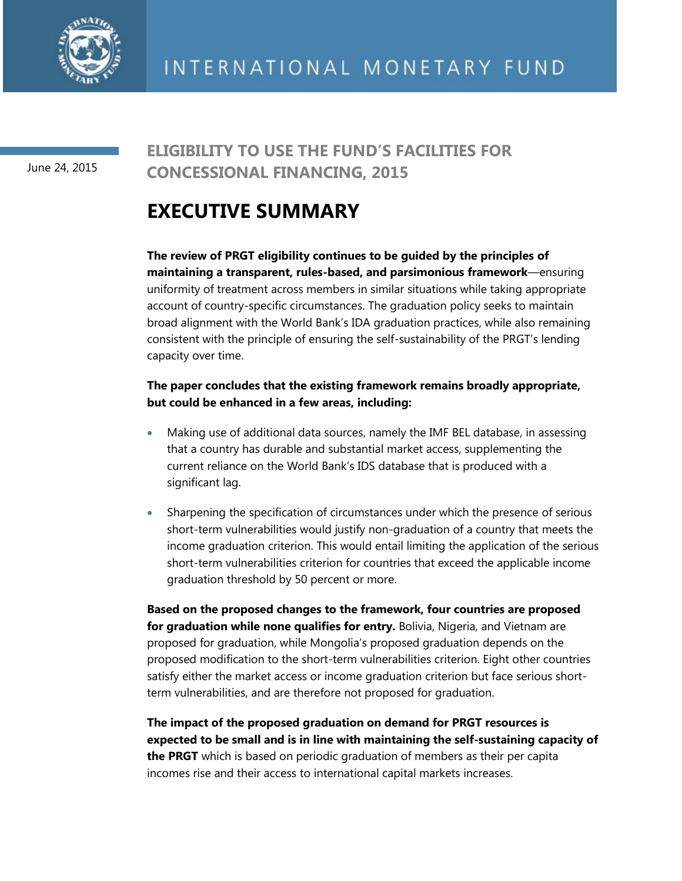

June 24, 2015

## **ELIGIBILITY TO USE THE FUND'S FACILITIES FOR CONCESSIONAL FINANCING, 2015**

# **EXECUTIVE SUMMARY**

**The review of PRGT eligibility continues to be guided by the principles of maintaining a transparent, rules-based, and parsimonious framework**—ensuring uniformity of treatment across members in similar situations while taking appropriate account of country-specific circumstances. The graduation policy seeks to maintain broad alignment with the World Bank's IDA graduation practices, while also remaining consistent with the principle of ensuring the self-sustainability of the PRGT's lending capacity over time.

### **The paper concludes that the existing framework remains broadly appropriate, but could be enhanced in a few areas, including:**

- Making use of additional data sources, namely the IMF BEL database, in assessing that a country has durable and substantial market access, supplementing the current reliance on the World Bank's IDS database that is produced with a significant lag.
- Sharpening the specification of circumstances under which the presence of serious short-term vulnerabilities would justify non-graduation of a country that meets the income graduation criterion. This would entail limiting the application of the serious short-term vulnerabilities criterion for countries that exceed the applicable income graduation threshold by 50 percent or more.

**Based on the proposed changes to the framework, four countries are proposed for graduation while none qualifies for entry.** Bolivia, Nigeria, and Vietnam are proposed for graduation, while Mongolia's proposed graduation depends on the proposed modification to the short-term vulnerabilities criterion. Eight other countries satisfy either the market access or income graduation criterion but face serious shortterm vulnerabilities, and are therefore not proposed for graduation.

**The impact of the proposed graduation on demand for PRGT resources is expected to be small and is in line with maintaining the self-sustaining capacity of the PRGT** which is based on periodic graduation of members as their per capita incomes rise and their access to international capital markets increases.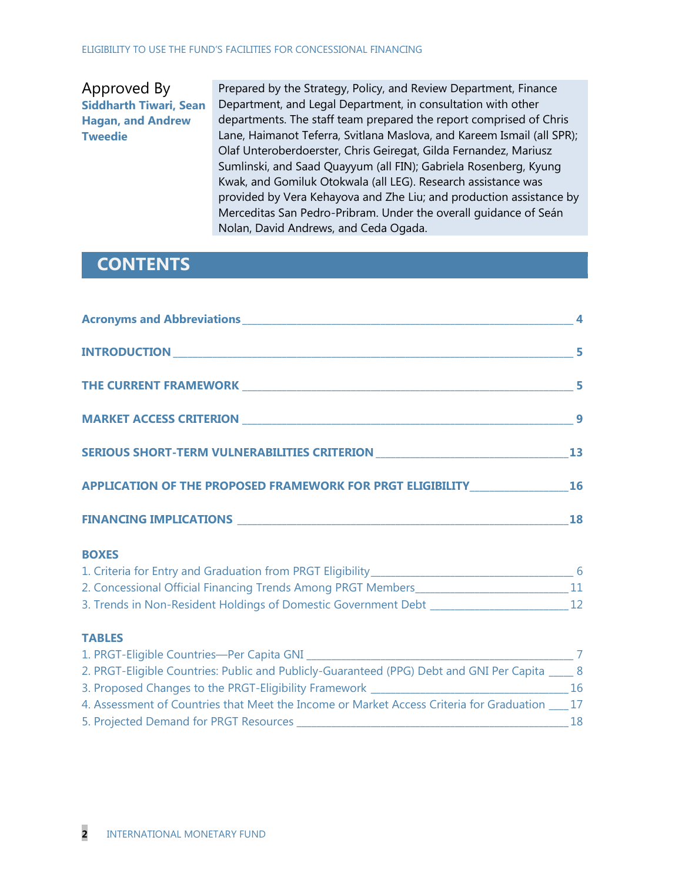### Approved By **Siddharth Tiwari, Sean Hagan, and Andrew Tweedie**

Prepared by the Strategy, Policy, and Review Department, Finance Department, and Legal Department, in consultation with other departments. The staff team prepared the report comprised of Chris Lane, Haimanot Teferra, Svitlana Maslova, and Kareem Ismail (all SPR); Olaf Unteroberdoerster, Chris Geiregat, Gilda Fernandez, Mariusz Sumlinski, and Saad Quayyum (all FIN); Gabriela Rosenberg, Kyung Kwak, and Gomiluk Otokwala (all LEG). Research assistance was provided by Vera Kehayova and Zhe Liu; and production assistance by Merceditas San Pedro-Pribram. Under the overall guidance of Seán Nolan, David Andrews, and Ceda Ogada.

### **CONTENTS**

|                                                                                                                                | $\sim$ 5 |
|--------------------------------------------------------------------------------------------------------------------------------|----------|
|                                                                                                                                |          |
|                                                                                                                                | 9        |
| SERIOUS SHORT-TERM VULNERABILITIES CRITERION ___________________________________13                                             |          |
| APPLICATION OF THE PROPOSED FRAMEWORK FOR PRGT ELIGIBILITY_______________________ 16                                           |          |
|                                                                                                                                | 18       |
| <b>BOXES</b><br>1000 A. 2000 A. 2000 A. 2000 A. 2000 A. 2000 A. 2000 A. 2000 A. 2000 A. 2000 A. 2000 A. 2000 A. 2000 A. 2000 A |          |

| 1. Criteria for Entry and Graduation from PRGT Eligibility     |  |
|----------------------------------------------------------------|--|
| 2. Concessional Official Financing Trends Among PRGT Members   |  |
| 3. Trends in Non-Resident Holdings of Domestic Government Debt |  |

### **TABLES**

| 1. PRGT-Eligible Countries-Per Capita GNI                                                        |    |
|--------------------------------------------------------------------------------------------------|----|
| 2. PRGT-Eligible Countries: Public and Publicly-Guaranteed (PPG) Debt and GNI Per Capita ____ 8  |    |
| 3. Proposed Changes to the PRGT-Eligibility Framework                                            | 16 |
| 4. Assessment of Countries that Meet the Income or Market Access Criteria for Graduation ____ 17 |    |
| 5. Projected Demand for PRGT Resources                                                           | 18 |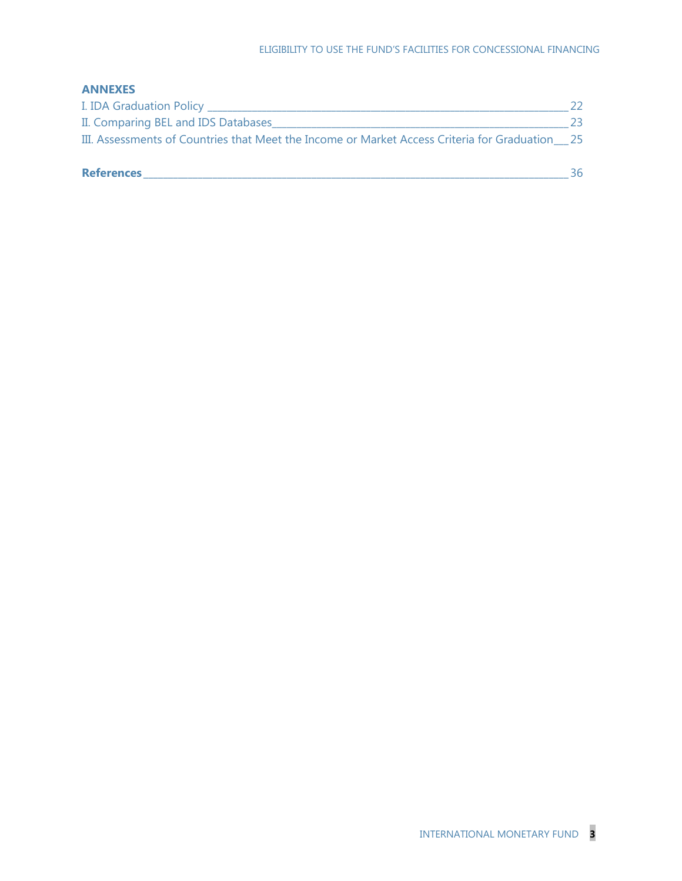### **ANNEXES**

| <b>References</b>                                                                              | 36 |
|------------------------------------------------------------------------------------------------|----|
| III. Assessments of Countries that Meet the Income or Market Access Criteria for Graduation 25 |    |
| II. Comparing BEL and IDS Databases                                                            | 23 |
| I. IDA Graduation Policy _                                                                     |    |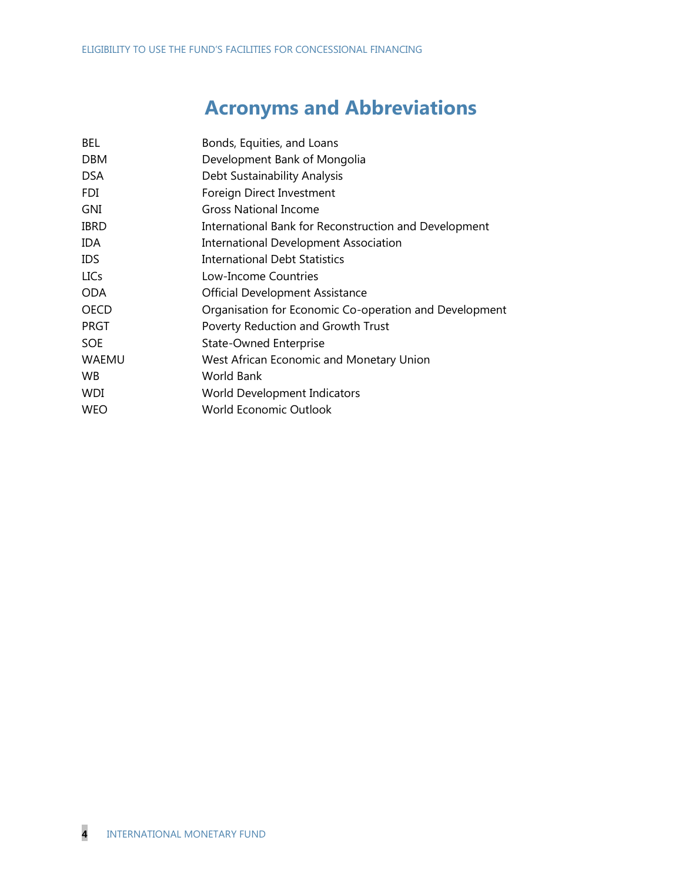# **Acronyms and Abbreviations**

| <b>BEL</b>   | Bonds, Equities, and Loans                             |
|--------------|--------------------------------------------------------|
| <b>DBM</b>   | Development Bank of Mongolia                           |
| <b>DSA</b>   | Debt Sustainability Analysis                           |
| <b>FDI</b>   | Foreign Direct Investment                              |
| GNI          | <b>Gross National Income</b>                           |
| <b>IBRD</b>  | International Bank for Reconstruction and Development  |
| <b>IDA</b>   | <b>International Development Association</b>           |
| <b>IDS</b>   | <b>International Debt Statistics</b>                   |
| <b>LICs</b>  | Low-Income Countries                                   |
| <b>ODA</b>   | <b>Official Development Assistance</b>                 |
| <b>OECD</b>  | Organisation for Economic Co-operation and Development |
| <b>PRGT</b>  | Poverty Reduction and Growth Trust                     |
| <b>SOE</b>   | <b>State-Owned Enterprise</b>                          |
| <b>WAEMU</b> | West African Economic and Monetary Union               |
| WB.          | World Bank                                             |
| <b>WDI</b>   | World Development Indicators                           |
| <b>WEO</b>   | <b>World Economic Outlook</b>                          |
|              |                                                        |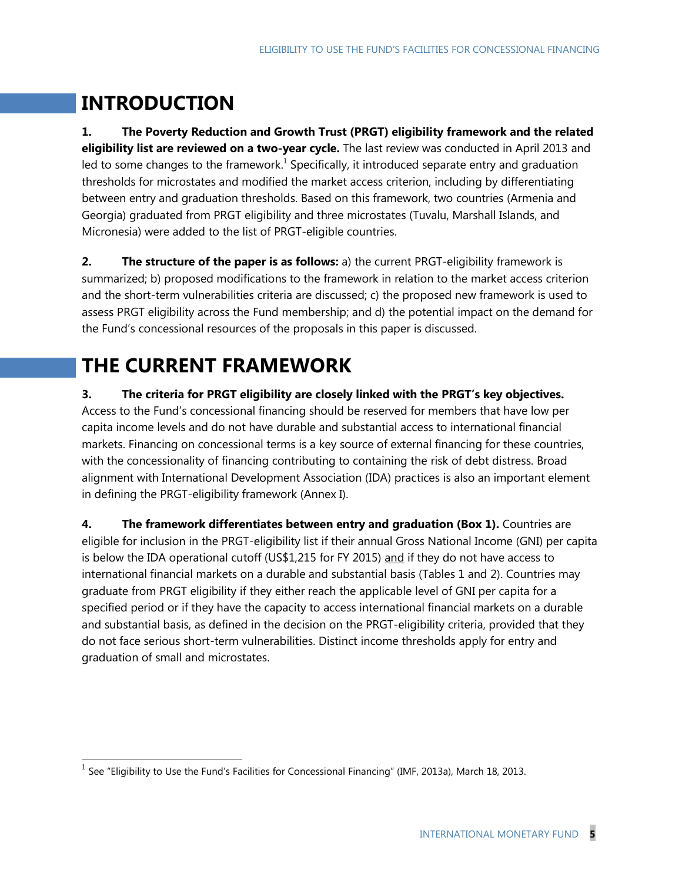# **INTRODUCTION**

 $\overline{a}$ 

**1. The Poverty Reduction and Growth Trust (PRGT) eligibility framework and the related eligibility list are reviewed on a two-year cycle.** The last review was conducted in April 2013 and led to some changes to the framework.<sup>1</sup> Specifically, it introduced separate entry and graduation thresholds for microstates and modified the market access criterion, including by differentiating between entry and graduation thresholds. Based on this framework, two countries (Armenia and Georgia) graduated from PRGT eligibility and three microstates (Tuvalu, Marshall Islands, and Micronesia) were added to the list of PRGT-eligible countries.

**2.** The structure of the paper is as follows: a) the current PRGT-eligibility framework is summarized; b) proposed modifications to the framework in relation to the market access criterion and the short-term vulnerabilities criteria are discussed; c) the proposed new framework is used to assess PRGT eligibility across the Fund membership; and d) the potential impact on the demand for the Fund's concessional resources of the proposals in this paper is discussed.

# **THE CURRENT FRAMEWORK**

**3. The criteria for PRGT eligibility are closely linked with the PRGT's key objectives.**

Access to the Fund's concessional financing should be reserved for members that have low per capita income levels and do not have durable and substantial access to international financial markets. Financing on concessional terms is a key source of external financing for these countries, with the concessionality of financing contributing to containing the risk of debt distress. Broad alignment with International Development Association (IDA) practices is also an important element in defining the PRGT-eligibility framework (Annex I).

**4. The framework differentiates between entry and graduation (Box 1).** Countries are eligible for inclusion in the PRGT-eligibility list if their annual Gross National Income (GNI) per capita is below the IDA operational cutoff (US\$1,215 for FY 2015) and if they do not have access to international financial markets on a durable and substantial basis (Tables 1 and 2). Countries may graduate from PRGT eligibility if they either reach the applicable level of GNI per capita for a specified period or if they have the capacity to access international financial markets on a durable and substantial basis, as defined in the decision on the PRGT-eligibility criteria, provided that they do not face serious short-term vulnerabilities. Distinct income thresholds apply for entry and graduation of small and microstates.

 $^1$  See "Eligibility to Use the Fund's Facilities for Concessional Financing" (IMF, 2013a), March 18, 2013.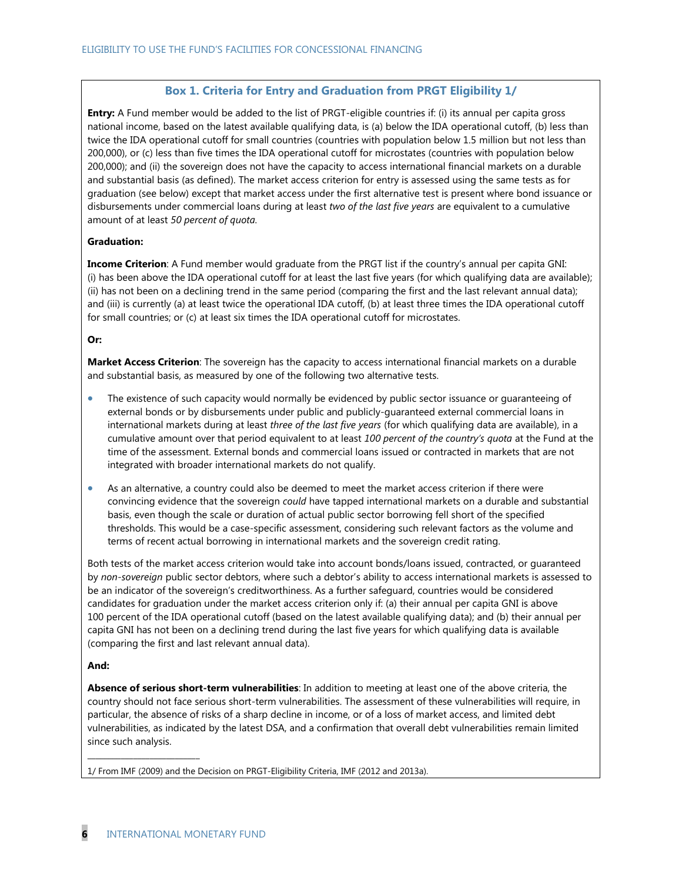### **Box 1. Criteria for Entry and Graduation from PRGT Eligibility 1/**

**Entry:** A Fund member would be added to the list of PRGT-eligible countries if: (i) its annual per capita gross national income, based on the latest available qualifying data, is (a) below the IDA operational cutoff, (b) less than twice the IDA operational cutoff for small countries (countries with population below 1.5 million but not less than 200,000), or (c) less than five times the IDA operational cutoff for microstates (countries with population below 200,000); and (ii) the sovereign does not have the capacity to access international financial markets on a durable and substantial basis (as defined). The market access criterion for entry is assessed using the same tests as for graduation (see below) except that market access under the first alternative test is present where bond issuance or disbursements under commercial loans during at least *two of the last five years* are equivalent to a cumulative amount of at least *50 percent of quota.*

#### **Graduation:**

**Income Criterion**: A Fund member would graduate from the PRGT list if the country's annual per capita GNI: (i) has been above the IDA operational cutoff for at least the last five years (for which qualifying data are available); (ii) has not been on a declining trend in the same period (comparing the first and the last relevant annual data); and (iii) is currently (a) at least twice the operational IDA cutoff, (b) at least three times the IDA operational cutoff for small countries; or (c) at least six times the IDA operational cutoff for microstates.

#### **Or:**

**Market Access Criterion**: The sovereign has the capacity to access international financial markets on a durable and substantial basis, as measured by one of the following two alternative tests.

- The existence of such capacity would normally be evidenced by public sector issuance or guaranteeing of external bonds or by disbursements under public and publicly-guaranteed external commercial loans in international markets during at least *three of the last five years* (for which qualifying data are available), in a cumulative amount over that period equivalent to at least *100 percent of the country's quota* at the Fund at the time of the assessment. External bonds and commercial loans issued or contracted in markets that are not integrated with broader international markets do not qualify.
- As an alternative, a country could also be deemed to meet the market access criterion if there were convincing evidence that the sovereign *could* have tapped international markets on a durable and substantial basis, even though the scale or duration of actual public sector borrowing fell short of the specified thresholds. This would be a case-specific assessment, considering such relevant factors as the volume and terms of recent actual borrowing in international markets and the sovereign credit rating.

Both tests of the market access criterion would take into account bonds/loans issued, contracted, or guaranteed by *non-sovereign* public sector debtors, where such a debtor's ability to access international markets is assessed to be an indicator of the sovereign's creditworthiness. As a further safeguard, countries would be considered candidates for graduation under the market access criterion only if: (a) their annual per capita GNI is above 100 percent of the IDA operational cutoff (based on the latest available qualifying data); and (b) their annual per capita GNI has not been on a declining trend during the last five years for which qualifying data is available (comparing the first and last relevant annual data).

#### **And:**

**Absence of serious short-term vulnerabilities**: In addition to meeting at least one of the above criteria, the country should not face serious short-term vulnerabilities. The assessment of these vulnerabilities will require, in particular, the absence of risks of a sharp decline in income, or of a loss of market access, and limited debt vulnerabilities, as indicated by the latest DSA, and a confirmation that overall debt vulnerabilities remain limited since such analysis.

1/ From IMF (2009) and the Decision on PRGT-Eligibility Criteria, IMF (2012 and 2013a).

 $\_$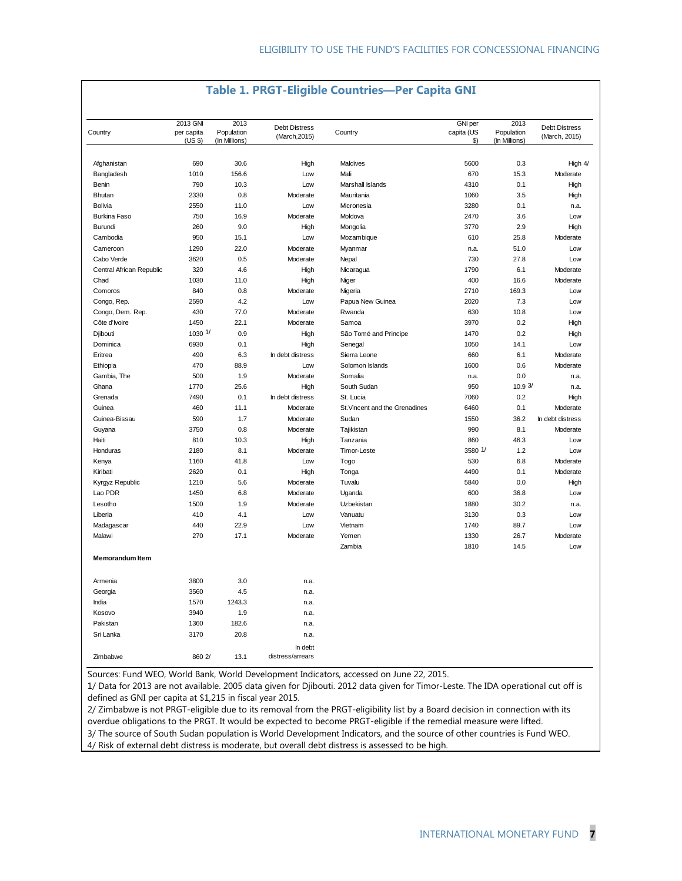| Country                  | 2013 GNI<br>per capita<br>(US \$) | 2013<br>Population<br>(In Millions) | <b>Debt Distress</b><br>(March, 2015) | Country                        | GNI per<br>capita (US<br>\$) | 2013<br>Population<br>(In Millions) | <b>Debt Distress</b><br>(March, 2015) |
|--------------------------|-----------------------------------|-------------------------------------|---------------------------------------|--------------------------------|------------------------------|-------------------------------------|---------------------------------------|
|                          |                                   |                                     |                                       |                                |                              |                                     |                                       |
| Afghanistan              | 690                               | 30.6                                | High                                  | Maldives                       | 5600                         | 0.3                                 | High 4/                               |
| Bangladesh               | 1010                              | 156.6                               | Low                                   | Mali                           | 670                          | 15.3                                | Moderate                              |
| Benin                    | 790                               | 10.3                                | Low                                   | Marshall Islands               | 4310                         | 0.1                                 | High                                  |
| Bhutan                   | 2330                              | 0.8                                 | Moderate                              | Mauritania                     | 1060                         | 3.5                                 | High                                  |
| Bolivia                  | 2550                              | 11.0                                | Low                                   | Micronesia                     | 3280                         | 0.1                                 | n.a.                                  |
| <b>Burkina Faso</b>      | 750                               | 16.9                                | Moderate                              | Moldova                        | 2470                         | 3.6                                 | Low                                   |
| Burundi                  | 260                               | 9.0                                 | High                                  | Mongolia                       | 3770                         | 2.9                                 | High                                  |
| Cambodia                 | 950                               | 15.1                                | Low                                   | Mozambique                     | 610                          | 25.8                                | Moderate                              |
| Cameroon                 | 1290                              | 22.0                                | Moderate                              | Myanmar                        | n.a.                         | 51.0                                | Low                                   |
| Cabo Verde               | 3620                              | 0.5                                 | Moderate                              | Nepal                          | 730                          | 27.8                                | Low                                   |
| Central African Republic | 320                               | 4.6                                 | High                                  | Nicaragua                      | 1790                         | 6.1                                 | Moderate                              |
| Chad                     | 1030                              | 11.0                                | High                                  | Niger                          | 400                          | 16.6                                | Moderate                              |
| Comoros                  | 840                               | 0.8                                 | Moderate                              | Nigeria                        | 2710                         | 169.3                               | Low                                   |
| Congo, Rep.              | 2590                              | 4.2                                 | Low                                   | Papua New Guinea               | 2020                         | 7.3                                 | Low                                   |
| Congo, Dem. Rep.         | 430                               | 77.0                                | Moderate                              | Rwanda                         | 630                          | 10.8                                | Low                                   |
| Côte d'Ivoire            | 1450                              | 22.1                                | Moderate                              | Samoa                          | 3970                         | 0.2                                 | High                                  |
| Djibouti                 | $1030$ $1/$                       | 0.9                                 | High                                  | São Tomé and Principe          | 1470                         | 0.2                                 | High                                  |
| Dominica                 | 6930                              | 0.1                                 | High                                  | Senegal                        | 1050                         | 14.1                                | Low                                   |
| Eritrea                  | 490                               | 6.3                                 | In debt distress                      | Sierra Leone                   | 660                          | 6.1                                 | Moderate                              |
| Ethiopia                 | 470                               | 88.9                                | Low                                   | Solomon Islands                | 1600                         | 0.6                                 | Moderate                              |
| Gambia, The              | 500                               | 1.9                                 | Moderate                              | Somalia                        | n.a.                         | 0.0                                 | n.a.                                  |
| Ghana                    | 1770                              | 25.6                                | High                                  | South Sudan                    | 950                          | 10.93/                              | n.a.                                  |
| Grenada                  | 7490                              | 0.1                                 | In debt distress                      | St. Lucia                      | 7060                         | 0.2                                 | High                                  |
| Guinea                   | 460                               | 11.1                                | Moderate                              | St. Vincent and the Grenadines | 6460                         | 0.1                                 | Moderate                              |
| Guinea-Bissau            | 590                               | 1.7                                 | Moderate                              | Sudan                          | 1550                         | 36.2                                | In debt distress                      |
| Guyana                   | 3750                              | 0.8                                 | Moderate                              | Tajikistan                     | 990                          | 8.1                                 | Moderate                              |
| Haiti                    | 810                               | 10.3                                | High                                  | Tanzania                       | 860                          | 46.3                                | Low                                   |
| Honduras                 | 2180                              | 8.1                                 | Moderate                              | Timor-Leste                    | 3580 1/                      | 1.2                                 | Low                                   |
| Kenya                    | 1160                              | 41.8                                | Low                                   | Togo                           | 530                          | 6.8                                 | Moderate                              |
| Kiribati                 | 2620                              | 0.1                                 | High                                  | Tonga                          | 4490                         | 0.1                                 | Moderate                              |
| Kyrgyz Republic          | 1210                              | 5.6                                 | Moderate                              | Tuvalu                         | 5840                         | 0.0                                 | High                                  |
| Lao PDR                  | 1450                              | 6.8                                 | Moderate                              | Uganda                         | 600                          | 36.8                                | Low                                   |
| Lesotho                  | 1500                              | 1.9                                 | Moderate                              | Uzbekistan                     | 1880                         | 30.2                                | n.a.                                  |
| Liberia                  | 410                               | 4.1                                 | Low                                   | Vanuatu                        | 3130                         | 0.3                                 | Low                                   |
| Madagascar               | 440                               | 22.9                                | Low                                   | Vietnam                        | 1740                         | 89.7                                | Low                                   |
| Malawi                   | 270                               | 17.1                                | Moderate                              | Yemen                          | 1330                         | 26.7                                | Moderate                              |
|                          |                                   |                                     |                                       | Zambia                         | 1810                         | 14.5                                | Low                                   |
| <b>Memorandum Item</b>   |                                   |                                     |                                       |                                |                              |                                     |                                       |
| Armenia                  | 3800                              | 3.0                                 | n.a.                                  |                                |                              |                                     |                                       |
| Georgia                  | 3560                              | 4.5                                 | n.a.                                  |                                |                              |                                     |                                       |
| India                    | 1570                              | 1243.3                              | n.a.                                  |                                |                              |                                     |                                       |
| Kosovo                   | 3940                              | 1.9                                 | n.a.                                  |                                |                              |                                     |                                       |
| Pakistan                 | 1360                              | 182.6                               | n.a.                                  |                                |                              |                                     |                                       |
| Sri Lanka                | 3170                              | 20.8                                | n.a.                                  |                                |                              |                                     |                                       |
| Zimbabwe                 | 860 2/                            | 13.1                                | In debt<br>distress/arrears           |                                |                              |                                     |                                       |

### **Table 1. PRGT-Eligible Countries—Per Capita GNI**

Sources: Fund WEO, World Bank, World Development Indicators, accessed on June 22, 2015.

1/ Data for 2013 are not available. 2005 data given for Djibouti. 2012 data given for Timor-Leste. The IDA operational cut off is defined as GNI per capita at \$1,215 in fiscal year 2015.

2/ Zimbabwe is not PRGT-eligible due to its removal from the PRGT-eligibility list by a Board decision in connection with its overdue obligations to the PRGT. It would be expected to become PRGT-eligible if the remedial measure were lifted. 3/ The source of South Sudan population is World Development Indicators, and the source of other countries is Fund WEO. 4/ Risk of external debt distress is moderate, but overall debt distress is assessed to be high.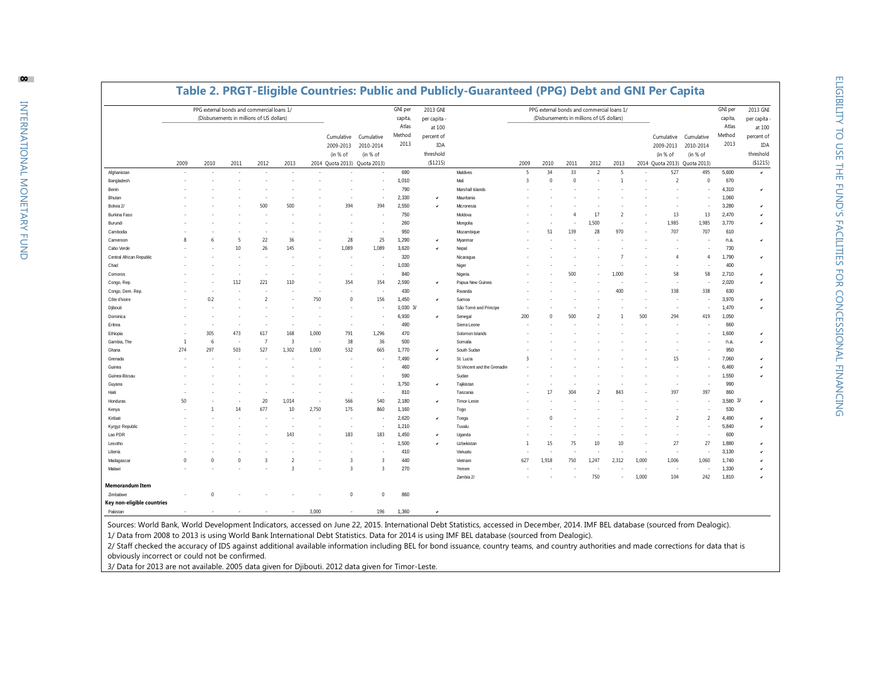|                            |                | PPG external bonds and commercial loans 1/ |                                                   |                          |                |       |                                                         |                                                    | <b>GNI</b> per                     | 2013 GNI                                                                  | Table 2. PRGT-Eligible Countries: Public and Publicly-Guaranteed (PPG) Debt and GNI Per Capita |                         | PPG external bonds and commercial loans 1/        |             |                          |                |       |                                                         |                                                    | GNI per                            | 2013 GNI                                                           |
|----------------------------|----------------|--------------------------------------------|---------------------------------------------------|--------------------------|----------------|-------|---------------------------------------------------------|----------------------------------------------------|------------------------------------|---------------------------------------------------------------------------|------------------------------------------------------------------------------------------------|-------------------------|---------------------------------------------------|-------------|--------------------------|----------------|-------|---------------------------------------------------------|----------------------------------------------------|------------------------------------|--------------------------------------------------------------------|
|                            | 2009           | 2010                                       | (Disbursements in millions of US dollars)<br>2011 | 2012                     | 2013           |       | Cumulative<br>2009-2013<br>(in % of<br>2014 Quota 2013) | Cumulative<br>2010-2014<br>(in % of<br>Quota 2013) | capita,<br>Atlas<br>Method<br>2013 | per capita<br>at 100<br>percent of<br><b>IDA</b><br>threshold<br>(\$1215) |                                                                                                | 2009                    | (Disbursements in millions of US dollars)<br>2010 | 2011        | 2012                     | 2013           |       | Cumulative<br>2009-2013<br>(in % of<br>2014 Quota 2013) | Cumulative<br>2010-2014<br>(in % of<br>Quota 2013) | capita,<br>Atlas<br>Method<br>2013 | per capita<br>at 100<br>percent of<br>IDA<br>threshold<br>(\$1215) |
| Afghanistan                | $\sim$         |                                            |                                                   |                          | $\sim$         |       |                                                         | ٠                                                  | 690                                |                                                                           | Maldives                                                                                       | 5                       | 34                                                | 33          | 2                        | -5             |       | 527                                                     | 495                                                | 5,600                              | $\checkmark$                                                       |
| Bangladesh                 |                |                                            |                                                   |                          |                |       |                                                         |                                                    | 1,010                              |                                                                           | Mali                                                                                           | $\overline{\mathbf{3}}$ | $\Omega$                                          | $\mathbf 0$ |                          | $\overline{1}$ |       | $\overline{\phantom{a}}$                                | $^{\circ}$                                         | 670                                |                                                                    |
| Benin                      |                |                                            |                                                   |                          |                |       |                                                         |                                                    | 790                                |                                                                           | Marshall Islands                                                                               |                         |                                                   |             |                          |                |       |                                                         |                                                    | 4,310                              | $\checkmark$                                                       |
| Bhutan                     |                |                                            |                                                   |                          |                |       |                                                         |                                                    | 2,330                              |                                                                           | Mauritania                                                                                     |                         |                                                   |             |                          |                |       |                                                         |                                                    | 1,060                              |                                                                    |
| Bolivia 2/                 |                |                                            |                                                   | 500                      | 500            |       | 394                                                     | 394                                                | 2,550                              |                                                                           | Micronesia                                                                                     |                         |                                                   |             |                          |                |       |                                                         |                                                    | 3,280                              | ٧                                                                  |
| Burkina Faso               |                |                                            |                                                   |                          |                |       |                                                         |                                                    | 750                                |                                                                           | Moldova                                                                                        |                         |                                                   | 4           | 17                       | 7              |       | 13                                                      | 13                                                 | 2,470                              |                                                                    |
| Burundi                    |                |                                            |                                                   |                          |                |       |                                                         |                                                    | 260                                |                                                                           | Mongolia                                                                                       |                         |                                                   |             | 1.500                    |                |       | 1,985                                                   | 1,985                                              | 3,770                              | ٧                                                                  |
| Cambodia                   |                |                                            |                                                   |                          |                |       |                                                         |                                                    | 950                                |                                                                           | Mozambique                                                                                     |                         | 51                                                | 139         | 28                       | 970            |       | 707                                                     | 707                                                | 610                                |                                                                    |
| Cameroon                   | 8              |                                            | -5                                                | 22                       | 36             |       | 28                                                      | 25                                                 | 1,290                              |                                                                           | Myanmar                                                                                        |                         |                                                   |             |                          |                |       |                                                         |                                                    | n.a.                               | ٧                                                                  |
| Cabo Verde                 |                |                                            | 10                                                | 26                       | 145            |       | 1.089                                                   | 1,089                                              | 3,620                              |                                                                           | Nepal                                                                                          |                         |                                                   |             |                          |                |       |                                                         |                                                    | 730                                |                                                                    |
| Central African Republic   |                |                                            |                                                   |                          |                |       |                                                         |                                                    | 320                                |                                                                           | Nicaragua                                                                                      |                         |                                                   |             |                          |                |       | 4                                                       | 4                                                  | 1,790                              | ٧                                                                  |
| Chad                       |                |                                            |                                                   |                          |                |       |                                                         |                                                    | 1,030                              |                                                                           | Niger                                                                                          |                         |                                                   |             |                          |                |       |                                                         |                                                    | 400                                |                                                                    |
| Comoros                    |                |                                            |                                                   |                          |                |       |                                                         |                                                    | 840                                |                                                                           | Nigeria                                                                                        |                         |                                                   | 500         |                          | 1,000          |       | 58                                                      | 58                                                 | 2,710                              |                                                                    |
| Congo, Rep.                |                |                                            | 112                                               | 221                      | 110            |       | 354                                                     | 354                                                | 2,590                              |                                                                           | Papua New Guinea                                                                               |                         |                                                   |             |                          |                |       |                                                         |                                                    | 2,020                              |                                                                    |
| Congo, Dem. Rep.           |                |                                            |                                                   |                          |                |       |                                                         |                                                    | 430                                |                                                                           | Rwanda                                                                                         |                         |                                                   |             |                          | 400            |       | 338                                                     | 338                                                | 630                                |                                                                    |
| Côte d'Ivoire              |                | 0.2                                        |                                                   | $\overline{\phantom{0}}$ |                | 750   | $^{\circ}$                                              | 156                                                | 1,450                              | $\checkmark$                                                              | Samoa                                                                                          |                         |                                                   |             |                          |                |       |                                                         |                                                    | 3,970                              |                                                                    |
| Djibouti                   |                |                                            |                                                   |                          |                |       |                                                         |                                                    | 1,030 3/                           |                                                                           | São Tomé and Principe                                                                          |                         |                                                   |             |                          |                |       |                                                         |                                                    | 1,470                              |                                                                    |
| Dominica                   |                |                                            |                                                   |                          |                |       |                                                         |                                                    | 6,930                              |                                                                           | Senegal                                                                                        | 200                     |                                                   | 500         | $\overline{\phantom{a}}$ |                | 500   | 294                                                     | 419                                                | 1,050                              |                                                                    |
| Eritrea                    |                |                                            |                                                   |                          |                |       |                                                         |                                                    | 490                                |                                                                           | Sierra Leone                                                                                   |                         |                                                   |             |                          |                |       |                                                         |                                                    | 660                                |                                                                    |
| Ethiopia                   |                | 305                                        | 473                                               | 617                      | 168            | 1,000 | 791                                                     | 1,296                                              | 470                                |                                                                           | Solomon Islands                                                                                |                         |                                                   |             |                          |                |       |                                                         |                                                    | 1,600                              |                                                                    |
| Gambia, The                | $\overline{1}$ | -6                                         |                                                   | $\overline{7}$           | $\overline{3}$ |       | 38                                                      | 36                                                 | 500                                |                                                                           | Somalia                                                                                        |                         |                                                   |             |                          |                |       |                                                         |                                                    | n.a.                               |                                                                    |
| Ghana                      | 274            | 297                                        | 503                                               | 527                      | 1,302          | 1,000 | 532                                                     | 665                                                | 1,770                              |                                                                           | South Sudan                                                                                    |                         |                                                   |             |                          |                |       |                                                         |                                                    | 950                                |                                                                    |
| Grenada                    |                |                                            |                                                   |                          |                |       |                                                         |                                                    | 7.490                              |                                                                           | St. Lucia                                                                                      |                         |                                                   |             |                          |                |       | 15                                                      |                                                    | 7,060                              |                                                                    |
| Guinea                     |                |                                            |                                                   |                          |                |       |                                                         |                                                    | 460                                |                                                                           | St. Vincent and the Grenadin                                                                   |                         |                                                   |             |                          |                |       |                                                         |                                                    | 6,460                              |                                                                    |
| Guinea-Bissau              |                |                                            |                                                   |                          |                |       |                                                         |                                                    | 590                                |                                                                           | Sudan                                                                                          |                         |                                                   |             |                          |                |       |                                                         |                                                    | 1,550                              |                                                                    |
| Guyana                     |                |                                            |                                                   |                          |                |       |                                                         |                                                    | 3,750                              |                                                                           | Tajikistan                                                                                     |                         |                                                   |             |                          |                |       |                                                         |                                                    | 990                                |                                                                    |
| Haiti                      |                |                                            |                                                   |                          |                |       |                                                         |                                                    | 810                                |                                                                           | Tanzania                                                                                       |                         | 17                                                | 304         |                          |                |       | 397                                                     | 397                                                | 860                                |                                                                    |
| Honduras                   | 50             |                                            |                                                   | 20                       | 1,014          |       | 566                                                     | 540                                                | 2,180                              |                                                                           | Timor-Leste                                                                                    |                         |                                                   |             |                          |                |       |                                                         |                                                    | 3,580 3/                           | v                                                                  |
| Kenya                      |                |                                            | 14                                                | 677                      | 10             | 2,750 | 175                                                     | 860                                                | 1,160                              |                                                                           | Togo                                                                                           |                         |                                                   |             |                          |                |       |                                                         |                                                    | 530                                |                                                                    |
| Kiribati                   |                |                                            |                                                   |                          |                |       |                                                         |                                                    | 2,620                              |                                                                           | Tonga                                                                                          |                         |                                                   |             |                          |                |       | 2                                                       | 2                                                  | 4,490                              |                                                                    |
| Kyrgyz Republic            |                |                                            |                                                   |                          |                |       |                                                         |                                                    | 1,210                              |                                                                           | Tuvalu                                                                                         |                         |                                                   |             |                          |                |       |                                                         |                                                    | 5,840                              |                                                                    |
| Lao PDR                    |                |                                            |                                                   |                          | 143            |       | 183                                                     | 183                                                | 1,450                              |                                                                           | Uganda                                                                                         |                         |                                                   |             |                          |                |       |                                                         |                                                    | 600                                |                                                                    |
| Lesotho                    |                |                                            |                                                   |                          |                |       |                                                         |                                                    | 1,500                              |                                                                           | Uzbekistan                                                                                     | 1                       | 15                                                | 75          | 10                       | 10             |       | 27                                                      | 27                                                 | 1,880                              |                                                                    |
| Liberia                    |                |                                            |                                                   |                          |                |       |                                                         |                                                    | 410                                |                                                                           | Vanuatu                                                                                        |                         |                                                   |             |                          |                |       |                                                         |                                                    | 3,130                              |                                                                    |
| Madagascar                 | n              |                                            |                                                   | -3                       | 2              |       | $\overline{\mathbf{3}}$                                 | 3                                                  | 440                                |                                                                           | Vietnam                                                                                        | 627                     | 1,918                                             | 750         | 1,247                    | 2,312          | 1,000 | 1,006                                                   | 1,060                                              | 1,740                              |                                                                    |
| Malawi                     |                |                                            |                                                   |                          | 3              |       | $\overline{3}$                                          | $\overline{3}$                                     | 270                                |                                                                           | Yemen                                                                                          |                         |                                                   |             |                          |                |       |                                                         |                                                    | 1,330                              |                                                                    |
|                            |                |                                            |                                                   |                          |                |       |                                                         |                                                    |                                    |                                                                           | Zambia 2/                                                                                      |                         |                                                   |             | 750                      |                | 1,000 | 104                                                     | 242                                                | 1,810                              |                                                                    |
| <b>Memorandum Item</b>     |                |                                            |                                                   |                          |                |       |                                                         |                                                    |                                    |                                                                           |                                                                                                |                         |                                                   |             |                          |                |       |                                                         |                                                    |                                    |                                                                    |
| Zimbabwe                   |                | $\Omega$                                   |                                                   |                          |                |       | $\mathbf 0$                                             | $\Omega$                                           | 860                                |                                                                           |                                                                                                |                         |                                                   |             |                          |                |       |                                                         |                                                    |                                    |                                                                    |
| Key non-eligible countries |                |                                            |                                                   |                          |                |       |                                                         |                                                    |                                    |                                                                           |                                                                                                |                         |                                                   |             |                          |                |       |                                                         |                                                    |                                    |                                                                    |
| Pakistan                   |                |                                            |                                                   |                          |                | 3,000 |                                                         | 196                                                | 1,360                              | $\overline{\phantom{a}}$                                                  |                                                                                                |                         |                                                   |             |                          |                |       |                                                         |                                                    |                                    |                                                                    |

### **Table 2. PRGT-Eligible Countries: Public and Publicly-Guaranteed (PPG) Debt and GNI Per Capita**

Sources: World Bank, World Development Indicators, accessed on June 22, 2015. International Debt Statistics, accessed in December, 2014. IMF BEL database (sourced from Dealogic). 1/ Data from 2008 to 2013 is using World Bank International Debt Statistics. Data for 2014 is using IMF BEL database (sourced from Dealogic).

2/ Staff checked the accuracy of IDS against additional available information including BEL for bond issuance, country teams, and country authorities and made corrections for data that is obviously incorrect or could not be confirmed.

3/ Data for 2013 are not available. 2005 data given for Djibouti. 2012 data given for Timor-Leste.

**8**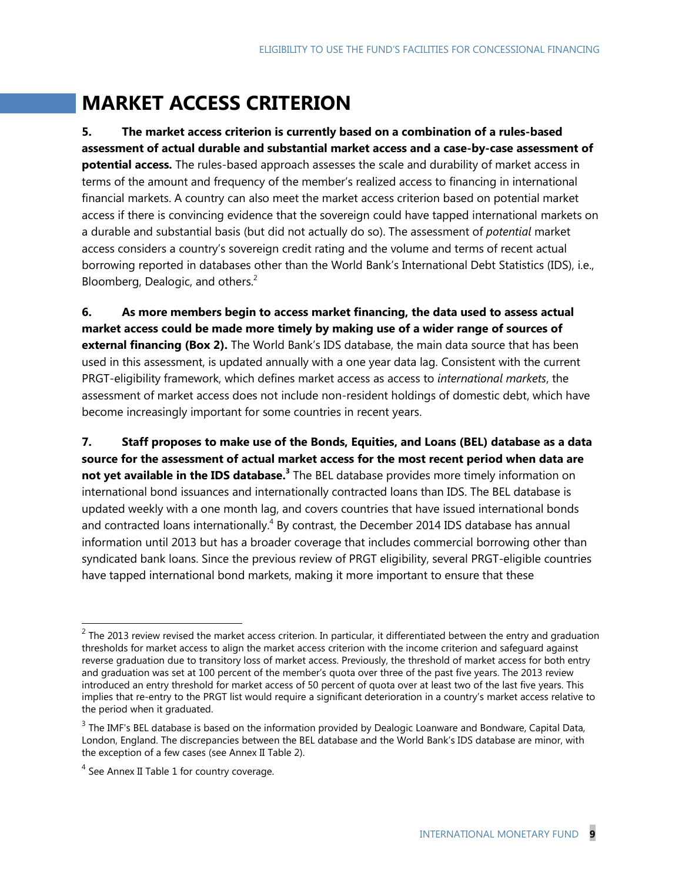# **MARKET ACCESS CRITERION**

**5. The market access criterion is currently based on a combination of a rules-based assessment of actual durable and substantial market access and a case-by-case assessment of potential access.** The rules-based approach assesses the scale and durability of market access in terms of the amount and frequency of the member's realized access to financing in international financial markets. A country can also meet the market access criterion based on potential market access if there is convincing evidence that the sovereign could have tapped international markets on a durable and substantial basis (but did not actually do so). The assessment of *potential* market access considers a country's sovereign credit rating and the volume and terms of recent actual borrowing reported in databases other than the World Bank's International Debt Statistics (IDS), i.e., Bloomberg, Dealogic, and others.<sup>2</sup>

**6. As more members begin to access market financing, the data used to assess actual market access could be made more timely by making use of a wider range of sources of external financing (Box 2).** The World Bank's IDS database, the main data source that has been used in this assessment, is updated annually with a one year data lag. Consistent with the current PRGT-eligibility framework, which defines market access as access to *international markets*, the assessment of market access does not include non-resident holdings of domestic debt, which have become increasingly important for some countries in recent years.

**7. Staff proposes to make use of the Bonds, Equities, and Loans (BEL) database as a data source for the assessment of actual market access for the most recent period when data are not yet available in the IDS database. 3** The BEL database provides more timely information on international bond issuances and internationally contracted loans than IDS. The BEL database is updated weekly with a one month lag, and covers countries that have issued international bonds and contracted loans internationally.<sup>4</sup> By contrast, the December 2014 IDS database has annual information until 2013 but has a broader coverage that includes commercial borrowing other than syndicated bank loans. Since the previous review of PRGT eligibility, several PRGT-eligible countries have tapped international bond markets, making it more important to ensure that these

 $\overline{a}$ 

 $^2$  The 2013 review revised the market access criterion. In particular, it differentiated between the entry and graduation thresholds for market access to align the market access criterion with the income criterion and safeguard against reverse graduation due to transitory loss of market access. Previously, the threshold of market access for both entry and graduation was set at 100 percent of the member's quota over three of the past five years. The 2013 review introduced an entry threshold for market access of 50 percent of quota over at least two of the last five years. This implies that re-entry to the PRGT list would require a significant deterioration in a country's market access relative to the period when it graduated.

 $3$  The IMF's BEL database is based on the information provided by Dealogic Loanware and Bondware, Capital Data, London, England. The discrepancies between the BEL database and the World Bank's IDS database are minor, with the exception of a few cases (see Annex II Table 2).

 $<sup>4</sup>$  See Annex II Table 1 for country coverage.</sup>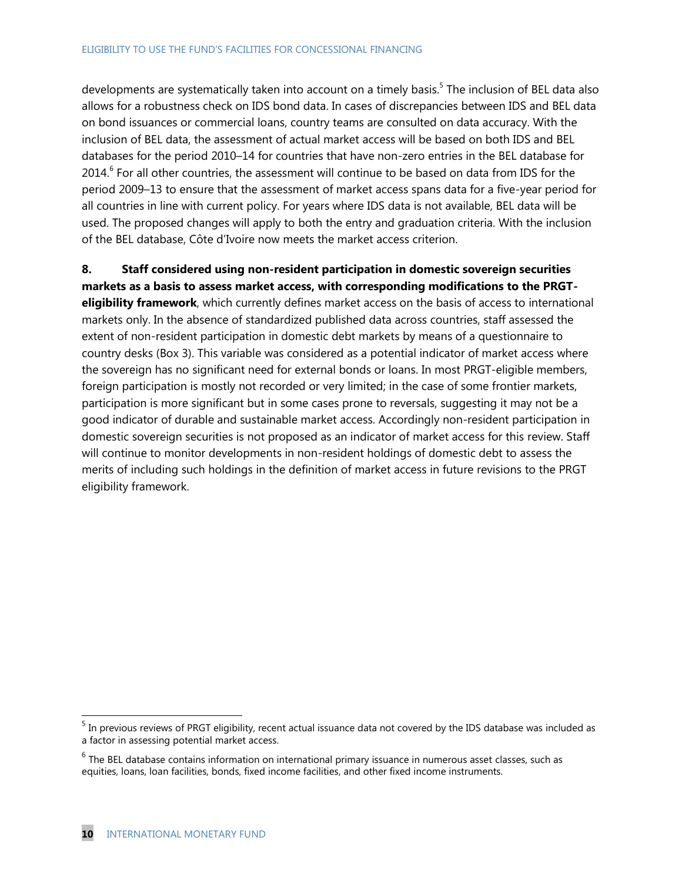developments are systematically taken into account on a timely basis.<sup>5</sup> The inclusion of BEL data also allows for a robustness check on IDS bond data. In cases of discrepancies between IDS and BEL data on bond issuances or commercial loans, country teams are consulted on data accuracy. With the inclusion of BEL data, the assessment of actual market access will be based on both IDS and BEL databases for the period 2010–14 for countries that have non-zero entries in the BEL database for 2014.<sup>6</sup> For all other countries, the assessment will continue to be based on data from IDS for the period 2009–13 to ensure that the assessment of market access spans data for a five-year period for all countries in line with current policy. For years where IDS data is not available, BEL data will be used. The proposed changes will apply to both the entry and graduation criteria. With the inclusion of the BEL database, Côte d'Ivoire now meets the market access criterion.

**8. Staff considered using non-resident participation in domestic sovereign securities markets as a basis to assess market access, with corresponding modifications to the PRGTeligibility framework**, which currently defines market access on the basis of access to international markets only. In the absence of standardized published data across countries, staff assessed the extent of non-resident participation in domestic debt markets by means of a questionnaire to country desks (Box 3). This variable was considered as a potential indicator of market access where the sovereign has no significant need for external bonds or loans. In most PRGT-eligible members, foreign participation is mostly not recorded or very limited; in the case of some frontier markets, participation is more significant but in some cases prone to reversals, suggesting it may not be a good indicator of durable and sustainable market access. Accordingly non-resident participation in domestic sovereign securities is not proposed as an indicator of market access for this review. Staff will continue to monitor developments in non-resident holdings of domestic debt to assess the merits of including such holdings in the definition of market access in future revisions to the PRGT eligibility framework.

 $\overline{a}$ 

<sup>&</sup>lt;sup>5</sup> In previous reviews of PRGT eligibility, recent actual issuance data not covered by the IDS database was included as a factor in assessing potential market access.

 $<sup>6</sup>$  The BEL database contains information on international primary issuance in numerous asset classes, such as</sup> equities, loans, loan facilities, bonds, fixed income facilities, and other fixed income instruments.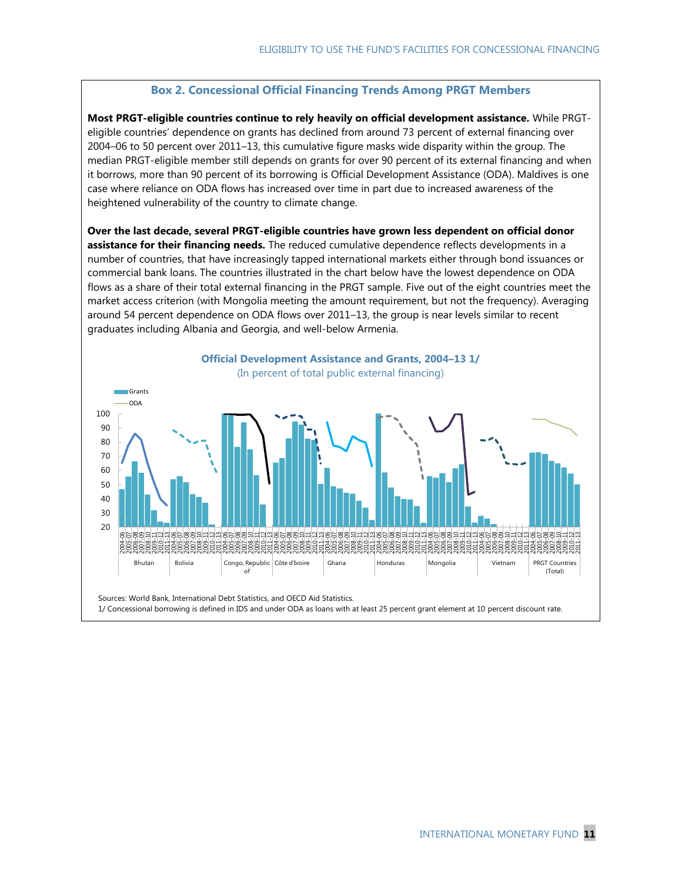### **Box 2. Concessional Official Financing Trends Among PRGT Members**

**Most PRGT-eligible countries continue to rely heavily on official development assistance.** While PRGTeligible countries' dependence on grants has declined from around 73 percent of external financing over 2004–06 to 50 percent over 2011–13, this cumulative figure masks wide disparity within the group. The median PRGT-eligible member still depends on grants for over 90 percent of its external financing and when it borrows, more than 90 percent of its borrowing is Official Development Assistance (ODA). Maldives is one case where reliance on ODA flows has increased over time in part due to increased awareness of the heightened vulnerability of the country to climate change.

**Over the last decade, several PRGT-eligible countries have grown less dependent on official donor assistance for their financing needs.** The reduced cumulative dependence reflects developments in a number of countries, that have increasingly tapped international markets either through bond issuances or commercial bank loans. The countries illustrated in the chart below have the lowest dependence on ODA flows as a share of their total external financing in the PRGT sample. Five out of the eight countries meet the market access criterion (with Mongolia meeting the amount requirement, but not the frequency). Averaging around 54 percent dependence on ODA flows over 2011–13, the group is near levels similar to recent graduates including Albania and Georgia, and well-below Armenia.



1/ Concessional borrowing is defined in IDS and under ODA as loans with at least 25 percent grant element at 10 percent discount rate.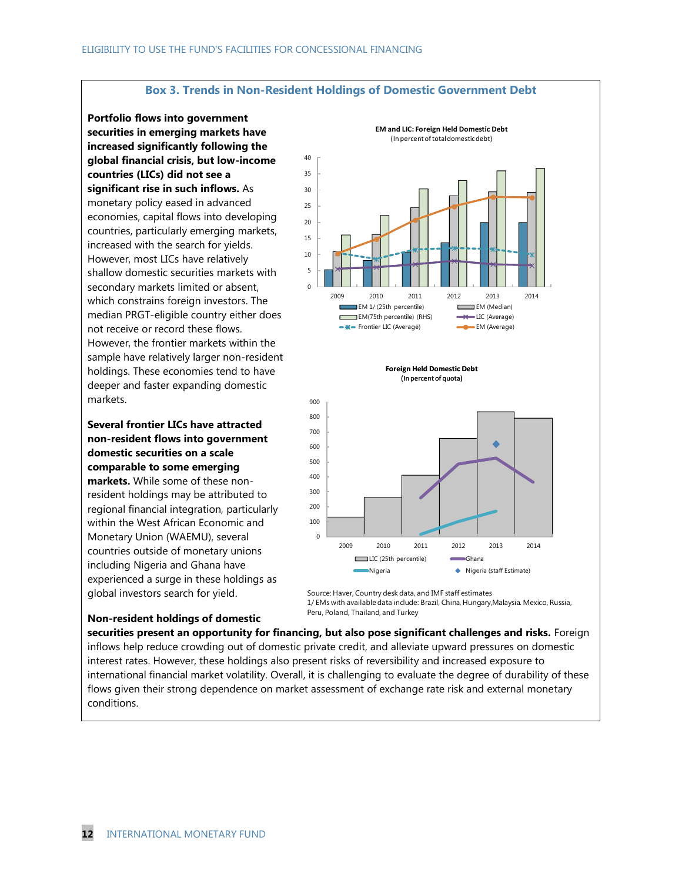#### **Box 3. Trends in Non-Resident Holdings of Domestic Government Debt**

**Portfolio flows into government securities in emerging markets have increased significantly following the global financial crisis, but low-income countries (LICs) did not see a significant rise in such inflows.** As monetary policy eased in advanced economies, capital flows into developing countries, particularly emerging markets, increased with the search for yields. However, most LICs have relatively shallow domestic securities markets with secondary markets limited or absent, which constrains foreign investors. The median PRGT-eligible country either does not receive or record these flows. However, the frontier markets within the sample have relatively larger non-resident holdings. These economies tend to have deeper and faster expanding domestic markets.

**Several frontier LICs have attracted non-resident flows into government domestic securities on a scale comparable to some emerging** 

**markets.** While some of these nonresident holdings may be attributed to regional financial integration, particularly within the West African Economic and Monetary Union (WAEMU), several countries outside of monetary unions including Nigeria and Ghana have experienced a surge in these holdings as global investors search for yield.

**Non-resident holdings of domestic** 



Source: Haver, Country desk data, and IMF staff estimates 1/ EMs with available data include: Brazil, China, Hungary,Malaysia. Mexico, Russia, Peru, Poland, Thailand, and Turkey

**securities present an opportunity for financing, but also pose significant challenges and risks.** Foreign inflows help reduce crowding out of domestic private credit, and alleviate upward pressures on domestic interest rates. However, these holdings also present risks of reversibility and increased exposure to international financial market volatility. Overall, it is challenging to evaluate the degree of durability of these flows given their strong dependence on market assessment of exchange rate risk and external monetary conditions.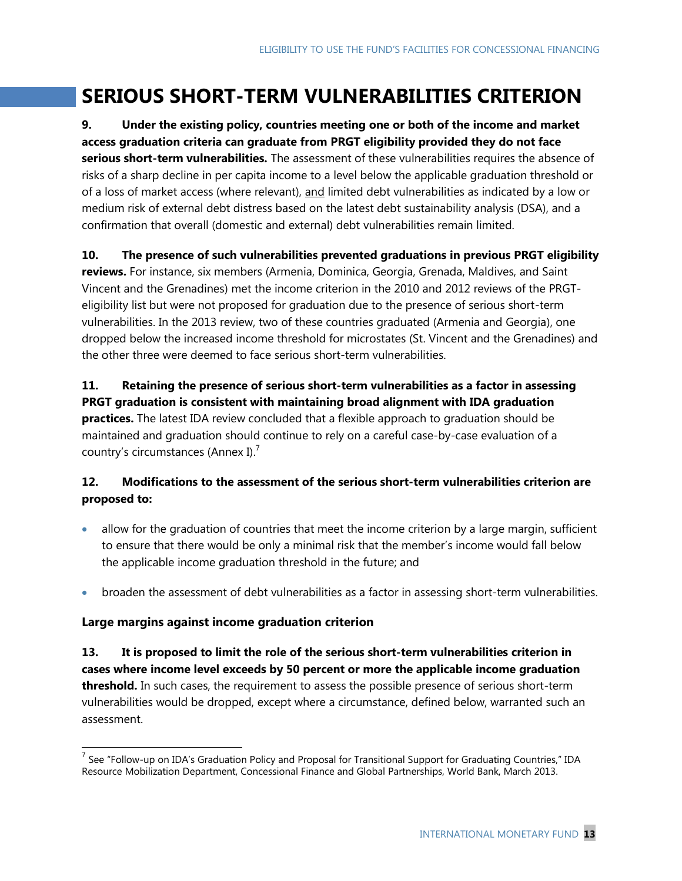# **SERIOUS SHORT-TERM VULNERABILITIES CRITERION**

**9. Under the existing policy, countries meeting one or both of the income and market access graduation criteria can graduate from PRGT eligibility provided they do not face serious short-term vulnerabilities.** The assessment of these vulnerabilities requires the absence of risks of a sharp decline in per capita income to a level below the applicable graduation threshold or of a loss of market access (where relevant), and limited debt vulnerabilities as indicated by a low or medium risk of external debt distress based on the latest debt sustainability analysis (DSA), and a confirmation that overall (domestic and external) debt vulnerabilities remain limited.

**10. The presence of such vulnerabilities prevented graduations in previous PRGT eligibility reviews.** For instance, six members (Armenia, Dominica, Georgia, Grenada, Maldives, and Saint Vincent and the Grenadines) met the income criterion in the 2010 and 2012 reviews of the PRGTeligibility list but were not proposed for graduation due to the presence of serious short-term vulnerabilities. In the 2013 review, two of these countries graduated (Armenia and Georgia), one dropped below the increased income threshold for microstates (St. Vincent and the Grenadines) and the other three were deemed to face serious short-term vulnerabilities.

**11. Retaining the presence of serious short-term vulnerabilities as a factor in assessing PRGT graduation is consistent with maintaining broad alignment with IDA graduation practices.** The latest IDA review concluded that a flexible approach to graduation should be maintained and graduation should continue to rely on a careful case-by-case evaluation of a country's circumstances (Annex I).<sup>7</sup>

### **12. Modifications to the assessment of the serious short-term vulnerabilities criterion are proposed to:**

- allow for the graduation of countries that meet the income criterion by a large margin, sufficient to ensure that there would be only a minimal risk that the member's income would fall below the applicable income graduation threshold in the future; and
- broaden the assessment of debt vulnerabilities as a factor in assessing short-term vulnerabilities.

### **Large margins against income graduation criterion**

 $\overline{a}$ 

**13. It is proposed to limit the role of the serious short-term vulnerabilities criterion in cases where income level exceeds by 50 percent or more the applicable income graduation threshold.** In such cases, the requirement to assess the possible presence of serious short-term vulnerabilities would be dropped, except where a circumstance, defined below, warranted such an assessment.

<sup>&</sup>lt;sup>7</sup> See "Follow-up on IDA's Graduation Policy and Proposal for Transitional Support for Graduating Countries," IDA Resource Mobilization Department, Concessional Finance and Global Partnerships, World Bank, March 2013.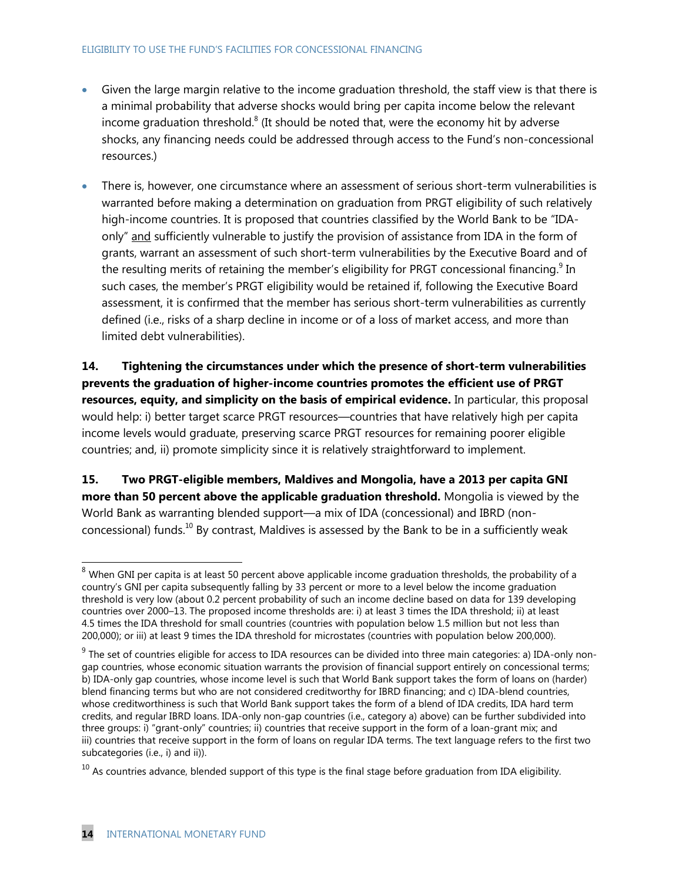- Given the large margin relative to the income graduation threshold, the staff view is that there is a minimal probability that adverse shocks would bring per capita income below the relevant income graduation threshold.<sup>8</sup> (It should be noted that, were the economy hit by adverse shocks, any financing needs could be addressed through access to the Fund's non-concessional resources.)
- There is, however, one circumstance where an assessment of serious short-term vulnerabilities is warranted before making a determination on graduation from PRGT eligibility of such relatively high-income countries. It is proposed that countries classified by the World Bank to be "IDAonly" and sufficiently vulnerable to justify the provision of assistance from IDA in the form of grants, warrant an assessment of such short-term vulnerabilities by the Executive Board and of the resulting merits of retaining the member's eligibility for PRGT concessional financing.<sup>9</sup> In such cases, the member's PRGT eligibility would be retained if, following the Executive Board assessment, it is confirmed that the member has serious short-term vulnerabilities as currently defined (i.e., risks of a sharp decline in income or of a loss of market access, and more than limited debt vulnerabilities).

**14. Tightening the circumstances under which the presence of short-term vulnerabilities prevents the graduation of higher-income countries promotes the efficient use of PRGT resources, equity, and simplicity on the basis of empirical evidence.** In particular, this proposal would help: i) better target scarce PRGT resources—countries that have relatively high per capita income levels would graduate, preserving scarce PRGT resources for remaining poorer eligible countries; and, ii) promote simplicity since it is relatively straightforward to implement.

**15. Two PRGT-eligible members, Maldives and Mongolia, have a 2013 per capita GNI more than 50 percent above the applicable graduation threshold.** Mongolia is viewed by the World Bank as warranting blended support—a mix of IDA (concessional) and IBRD (nonconcessional) funds.<sup>10</sup> By contrast, Maldives is assessed by the Bank to be in a sufficiently weak

 $\overline{a}$ 

 $^8$  When GNI per capita is at least 50 percent above applicable income graduation thresholds, the probability of a country's GNI per capita subsequently falling by 33 percent or more to a level below the income graduation threshold is very low (about 0.2 percent probability of such an income decline based on data for 139 developing countries over 2000–13. The proposed income thresholds are: i) at least 3 times the IDA threshold; ii) at least 4.5 times the IDA threshold for small countries (countries with population below 1.5 million but not less than 200,000); or iii) at least 9 times the IDA threshold for microstates (countries with population below 200,000).

 $^9$  The set of countries eligible for access to IDA resources can be divided into three main categories: a) IDA-only nongap countries, whose economic situation warrants the provision of financial support entirely on concessional terms; b) IDA-only gap countries, whose income level is such that World Bank support takes the form of loans on (harder) blend financing terms but who are not considered creditworthy for IBRD financing; and c) IDA-blend countries, whose creditworthiness is such that World Bank support takes the form of a blend of IDA credits, IDA hard term credits, and regular IBRD loans. IDA-only non-gap countries (i.e., category a) above) can be further subdivided into three groups: i) "grant-only" countries; ii) countries that receive support in the form of a loan-grant mix; and iii) countries that receive support in the form of loans on regular IDA terms. The text language refers to the first two subcategories (i.e., i) and ii)).

 $10$  As countries advance, blended support of this type is the final stage before graduation from IDA eligibility.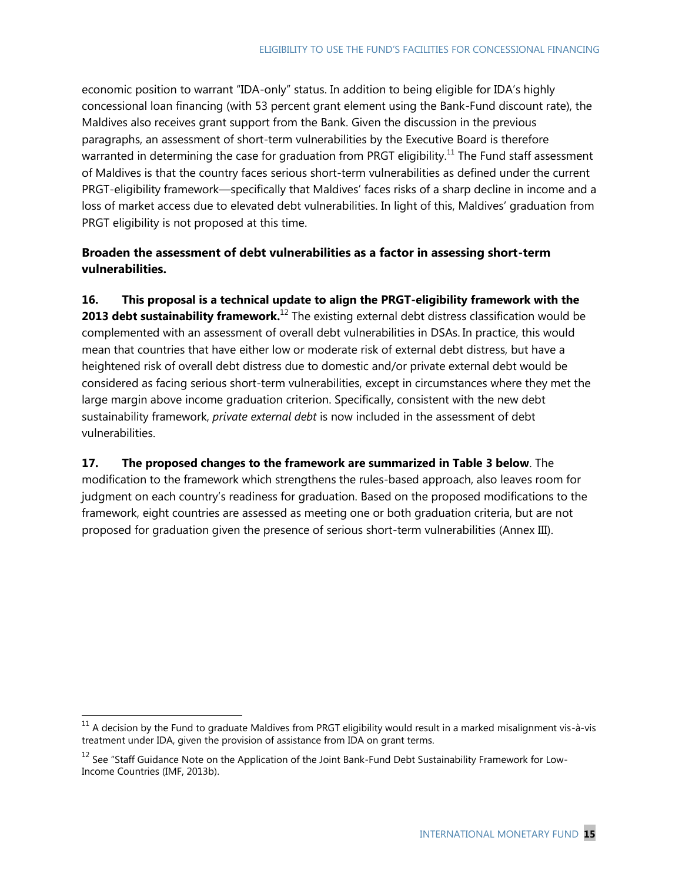economic position to warrant "IDA-only" status. In addition to being eligible for IDA's highly concessional loan financing (with 53 percent grant element using the Bank-Fund discount rate), the Maldives also receives grant support from the Bank. Given the discussion in the previous paragraphs, an assessment of short-term vulnerabilities by the Executive Board is therefore warranted in determining the case for graduation from PRGT eligibility.<sup>11</sup> The Fund staff assessment of Maldives is that the country faces serious short-term vulnerabilities as defined under the current PRGT-eligibility framework—specifically that Maldives' faces risks of a sharp decline in income and a loss of market access due to elevated debt vulnerabilities. In light of this, Maldives' graduation from PRGT eligibility is not proposed at this time.

### **Broaden the assessment of debt vulnerabilities as a factor in assessing short-term vulnerabilities.**

**16. This proposal is a technical update to align the PRGT-eligibility framework with the 2013 debt sustainability framework.**<sup>12</sup> The existing external debt distress classification would be complemented with an assessment of overall debt vulnerabilities in DSAs. In practice, this would mean that countries that have either low or moderate risk of external debt distress, but have a heightened risk of overall debt distress due to domestic and/or private external debt would be considered as facing serious short-term vulnerabilities, except in circumstances where they met the large margin above income graduation criterion. Specifically, consistent with the new debt sustainability framework, *private external debt* is now included in the assessment of debt vulnerabilities.

### **17. The proposed changes to the framework are summarized in Table 3 below**. The modification to the framework which strengthens the rules-based approach, also leaves room for judgment on each country's readiness for graduation. Based on the proposed modifications to the

framework, eight countries are assessed as meeting one or both graduation criteria, but are not proposed for graduation given the presence of serious short-term vulnerabilities (Annex III).

 $\overline{a}$ 

 $11$  A decision by the Fund to graduate Maldives from PRGT eligibility would result in a marked misalignment vis-à-vis treatment under IDA, given the provision of assistance from IDA on grant terms.

 $12$  See "Staff Guidance Note on the Application of the Joint Bank-Fund Debt Sustainability Framework for Low-Income Countries (IMF, 2013b).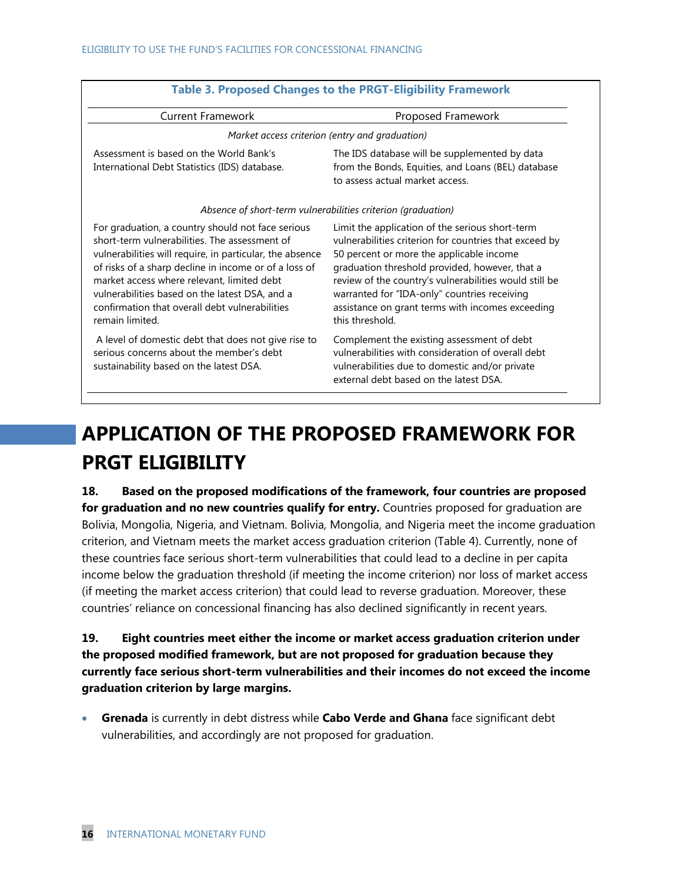|                                                                                                                                                                                                                                                                                                                                                                                              | <b>Table 3. Proposed Changes to the PRGT-Eligibility Framework</b>                                                                                                                                                                                                                                                                                                                       |
|----------------------------------------------------------------------------------------------------------------------------------------------------------------------------------------------------------------------------------------------------------------------------------------------------------------------------------------------------------------------------------------------|------------------------------------------------------------------------------------------------------------------------------------------------------------------------------------------------------------------------------------------------------------------------------------------------------------------------------------------------------------------------------------------|
| <b>Current Framework</b>                                                                                                                                                                                                                                                                                                                                                                     | Proposed Framework                                                                                                                                                                                                                                                                                                                                                                       |
|                                                                                                                                                                                                                                                                                                                                                                                              | Market access criterion (entry and graduation)                                                                                                                                                                                                                                                                                                                                           |
| Assessment is based on the World Bank's<br>International Debt Statistics (IDS) database.                                                                                                                                                                                                                                                                                                     | The IDS database will be supplemented by data<br>from the Bonds, Equities, and Loans (BEL) database<br>to assess actual market access.                                                                                                                                                                                                                                                   |
| Absence of short-term vulnerabilities criterion (graduation)                                                                                                                                                                                                                                                                                                                                 |                                                                                                                                                                                                                                                                                                                                                                                          |
| For graduation, a country should not face serious<br>short-term vulnerabilities. The assessment of<br>vulnerabilities will require, in particular, the absence<br>of risks of a sharp decline in income or of a loss of<br>market access where relevant, limited debt<br>vulnerabilities based on the latest DSA, and a<br>confirmation that overall debt vulnerabilities<br>remain limited. | Limit the application of the serious short-term<br>vulnerabilities criterion for countries that exceed by<br>50 percent or more the applicable income<br>graduation threshold provided, however, that a<br>review of the country's vulnerabilities would still be<br>warranted for "IDA-only" countries receiving<br>assistance on grant terms with incomes exceeding<br>this threshold. |
| A level of domestic debt that does not give rise to<br>serious concerns about the member's debt<br>sustainability based on the latest DSA.                                                                                                                                                                                                                                                   | Complement the existing assessment of debt<br>vulnerabilities with consideration of overall debt<br>vulnerabilities due to domestic and/or private<br>external debt based on the latest DSA.                                                                                                                                                                                             |

# **APPLICATION OF THE PROPOSED FRAMEWORK FOR PRGT ELIGIBILITY**

**18. Based on the proposed modifications of the framework, four countries are proposed for graduation and no new countries qualify for entry.** Countries proposed for graduation are Bolivia, Mongolia, Nigeria, and Vietnam. Bolivia, Mongolia, and Nigeria meet the income graduation criterion, and Vietnam meets the market access graduation criterion (Table 4). Currently, none of these countries face serious short-term vulnerabilities that could lead to a decline in per capita income below the graduation threshold (if meeting the income criterion) nor loss of market access (if meeting the market access criterion) that could lead to reverse graduation. Moreover, these countries' reliance on concessional financing has also declined significantly in recent years.

**19. Eight countries meet either the income or market access graduation criterion under the proposed modified framework, but are not proposed for graduation because they currently face serious short-term vulnerabilities and their incomes do not exceed the income graduation criterion by large margins.**

 **Grenada** is currently in debt distress while **Cabo Verde and Ghana** face significant debt vulnerabilities, and accordingly are not proposed for graduation.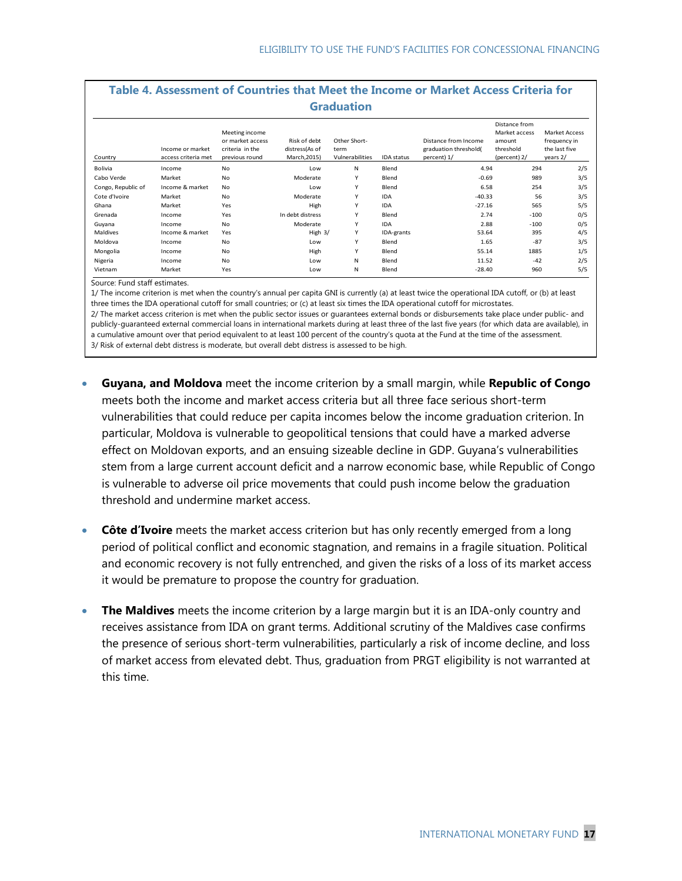|                    |                                         |                                                                         |                                                | <b>Graduation</b>                       |                   |                                                              |                                                                       |                                                                   |
|--------------------|-----------------------------------------|-------------------------------------------------------------------------|------------------------------------------------|-----------------------------------------|-------------------|--------------------------------------------------------------|-----------------------------------------------------------------------|-------------------------------------------------------------------|
| Country            | Income or market<br>access criteria met | Meeting income<br>or market access<br>criteria in the<br>previous round | Risk of debt<br>distress(As of<br>March, 2015) | Other Short-<br>term<br>Vulnerabilities | <b>IDA</b> status | Distance from Income<br>graduation threshold(<br>percent) 1/ | Distance from<br>Market access<br>amount<br>threshold<br>(percent) 2/ | <b>Market Access</b><br>frequency in<br>the last five<br>years 2/ |
| <b>Bolivia</b>     | Income                                  | No                                                                      | Low                                            | N                                       | Blend             | 4.94                                                         | 294                                                                   | 2/5                                                               |
| Cabo Verde         | Market                                  | No                                                                      | Moderate                                       | Y                                       | Blend             | $-0.69$                                                      | 989                                                                   | 3/5                                                               |
| Congo, Republic of | Income & market                         | <b>No</b>                                                               | Low                                            | Y                                       | Blend             | 6.58                                                         | 254                                                                   | 3/5                                                               |
| Cote d'Ivoire      | Market                                  | <b>No</b>                                                               | Moderate                                       | Y                                       | <b>IDA</b>        | $-40.33$                                                     | 56                                                                    | 3/5                                                               |
| Ghana              | Market                                  | Yes                                                                     | High                                           | Y                                       | <b>IDA</b>        | $-27.16$                                                     | 565                                                                   | 5/5                                                               |
| Grenada            | Income                                  | Yes                                                                     | In debt distress                               | Y                                       | Blend             | 2.74                                                         | $-100$                                                                | 0/5                                                               |
| Guyana             | Income                                  | <b>No</b>                                                               | Moderate                                       | Y                                       | <b>IDA</b>        | 2.88                                                         | $-100$                                                                | 0/5                                                               |
| Maldives           | Income & market                         | Yes                                                                     | High 3/                                        | Υ                                       | IDA-grants        | 53.64                                                        | 395                                                                   | 4/5                                                               |
| Moldova            | Income                                  | <b>No</b>                                                               | Low                                            | Y                                       | Blend             | 1.65                                                         | $-87$                                                                 | 3/5                                                               |
| Mongolia           | Income                                  | <b>No</b>                                                               | High                                           | ٧                                       | Blend             | 55.14                                                        | 1885                                                                  | 1/5                                                               |
| Nigeria            | Income                                  | <b>No</b>                                                               | Low                                            | N                                       | Blend             | 11.52                                                        | $-42$                                                                 | 2/5                                                               |
| Vietnam            | Market                                  | Yes                                                                     | Low                                            | Ν                                       | Blend             | $-28.40$                                                     | 960                                                                   | 5/5                                                               |

1/ The income criterion is met when the country's annual per capita GNI is currently (a) at least twice the operational IDA cutoff, or (b) at least three times the IDA operational cutoff for small countries; or (c) at least six times the IDA operational cutoff for microstates. 2/ The market access criterion is met when the public sector issues or guarantees external bonds or disbursements take place under public- and publicly-guaranteed external commercial loans in international markets during at least three of the last five years (for which data are available), in

a cumulative amount over that period equivalent to at least 100 percent of the country's quota at the Fund at the time of the assessment. 3/ Risk of external debt distress is moderate, but overall debt distress is assessed to be high.

- **Guyana, and Moldova** meet the income criterion by a small margin, while **Republic of Congo**  meets both the income and market access criteria but all three face serious short-term vulnerabilities that could reduce per capita incomes below the income graduation criterion. In particular, Moldova is vulnerable to geopolitical tensions that could have a marked adverse effect on Moldovan exports, and an ensuing sizeable decline in GDP. Guyana's vulnerabilities stem from a large current account deficit and a narrow economic base, while Republic of Congo is vulnerable to adverse oil price movements that could push income below the graduation threshold and undermine market access.
- **Côte d'Ivoire** meets the market access criterion but has only recently emerged from a long period of political conflict and economic stagnation, and remains in a fragile situation. Political and economic recovery is not fully entrenched, and given the risks of a loss of its market access it would be premature to propose the country for graduation.
- **The Maldives** meets the income criterion by a large margin but it is an IDA-only country and receives assistance from IDA on grant terms. Additional scrutiny of the Maldives case confirms the presence of serious short-term vulnerabilities, particularly a risk of income decline, and loss of market access from elevated debt. Thus, graduation from PRGT eligibility is not warranted at this time.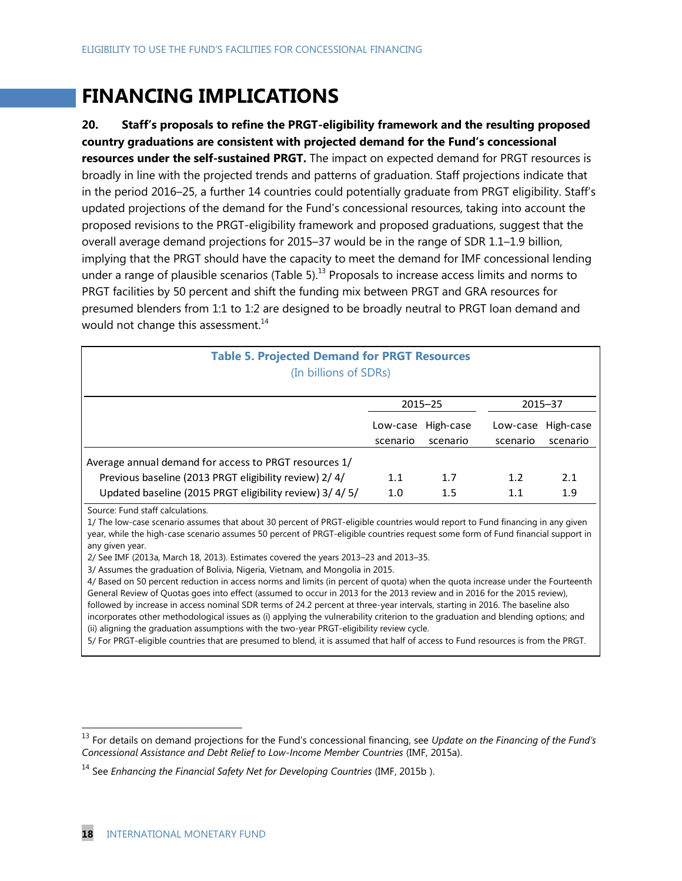## **FINANCING IMPLICATIONS**

**20. Staff's proposals to refine the PRGT-eligibility framework and the resulting proposed country graduations are consistent with projected demand for the Fund's concessional resources under the self-sustained PRGT.** The impact on expected demand for PRGT resources is broadly in line with the projected trends and patterns of graduation. Staff projections indicate that in the period 2016–25, a further 14 countries could potentially graduate from PRGT eligibility. Staff's updated projections of the demand for the Fund's concessional resources, taking into account the proposed revisions to the PRGT-eligibility framework and proposed graduations, suggest that the overall average demand projections for 2015–37 would be in the range of SDR 1.1–1.9 billion, implying that the PRGT should have the capacity to meet the demand for IMF concessional lending under a range of plausible scenarios (Table 5). $^{13}$  Proposals to increase access limits and norms to PRGT facilities by 50 percent and shift the funding mix between PRGT and GRA resources for presumed blenders from 1:1 to 1:2 are designed to be broadly neutral to PRGT loan demand and would not change this assessment. $14$ 

| <b>Table 5. Projected Demand for PRGT Resources</b><br>(In billions of SDRs)                                                                                                                                                                                                                                            |                      |                       |                      |                       |
|-------------------------------------------------------------------------------------------------------------------------------------------------------------------------------------------------------------------------------------------------------------------------------------------------------------------------|----------------------|-----------------------|----------------------|-----------------------|
|                                                                                                                                                                                                                                                                                                                         |                      | $2015 - 25$           |                      | $2015 - 37$           |
|                                                                                                                                                                                                                                                                                                                         | Low-case<br>scenario | High-case<br>scenario | Low-case<br>scenario | High-case<br>scenario |
| Average annual demand for access to PRGT resources 1/                                                                                                                                                                                                                                                                   |                      |                       |                      |                       |
| Previous baseline (2013 PRGT eligibility review) 2/4/                                                                                                                                                                                                                                                                   | 1.1                  | 1.7                   | 1.2                  | 2.1                   |
| Updated baseline (2015 PRGT eligibility review) 3/4/5/                                                                                                                                                                                                                                                                  | 1.0                  | 1.5                   | 1.1                  | 1.9                   |
| Source: Fund staff calculations.<br>1/ The low-case scenario assumes that about 30 percent of PRGT-eligible countries would report to Fund financing in any given<br>year, while the high-case scenario assumes 50 percent of PRGT-eligible countries request some form of Fund financial support in<br>any given year. |                      |                       |                      |                       |

2/ See IMF (2013a, March 18, 2013). Estimates covered the years 2013–23 and 2013–35.

3/ Assumes the graduation of Bolivia, Nigeria, Vietnam, and Mongolia in 2015.

4/ Based on 50 percent reduction in access norms and limits (in percent of quota) when the quota increase under the Fourteenth General Review of Quotas goes into effect (assumed to occur in 2013 for the 2013 review and in 2016 for the 2015 review), followed by increase in access nominal SDR terms of 24.2 percent at three-year intervals, starting in 2016. The baseline also incorporates other methodological issues as (i) applying the vulnerability criterion to the graduation and blending options; and (ii) aligning the graduation assumptions with the two-year PRGT-eligibility review cycle.

5/ For PRGT-eligible countries that are presumed to blend, it is assumed that half of access to Fund resources is from the PRGT.

 $\overline{a}$ 

<sup>13</sup> For details on demand projections for the Fund's concessional financing, see *Update on the Financing of the Fund's Concessional Assistance and Debt Relief to Low-Income Member Countries* (IMF, 2015a).

<sup>14</sup> See *Enhancing the Financial Safety Net for Developing Countries* (IMF, 2015b ).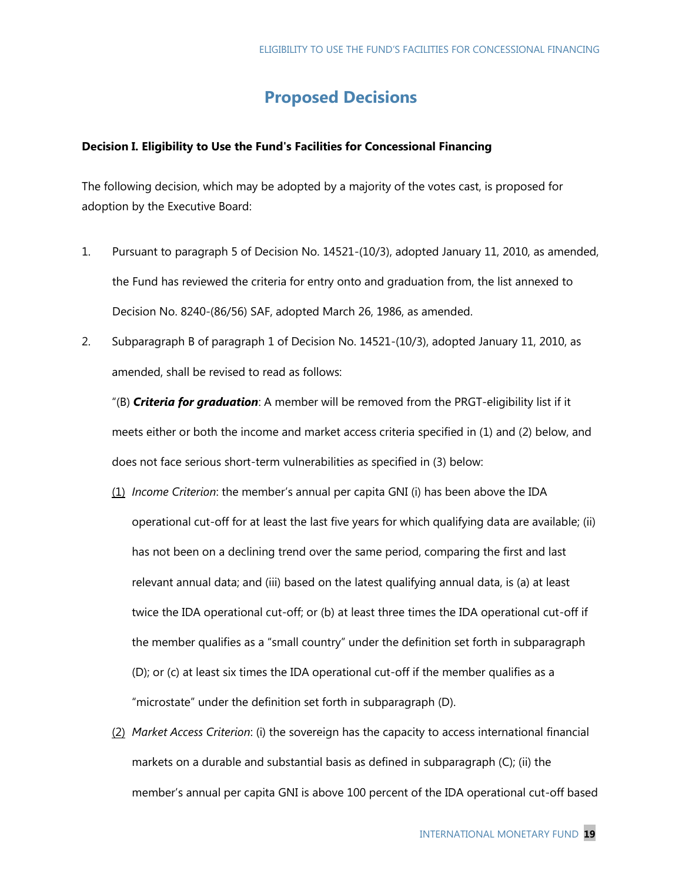### **Proposed Decisions**

### **Decision I. Eligibility to Use the Fund's Facilities for Concessional Financing**

The following decision, which may be adopted by a majority of the votes cast, is proposed for adoption by the Executive Board:

- 1. Pursuant to paragraph 5 of Decision No. 14521-(10/3), adopted January 11, 2010, as amended, the Fund has reviewed the criteria for entry onto and graduation from, the list annexed to Decision No. 8240-(86/56) SAF, adopted March 26, 1986, as amended.
- 2. Subparagraph B of paragraph 1 of Decision No. 14521-(10/3), adopted January 11, 2010, as amended, shall be revised to read as follows:

"(B) *Criteria for graduation*: A member will be removed from the PRGT-eligibility list if it meets either or both the income and market access criteria specified in (1) and (2) below, and does not face serious short-term vulnerabilities as specified in (3) below:

- (1) *Income Criterion*: the member's annual per capita GNI (i) has been above the IDA operational cut-off for at least the last five years for which qualifying data are available; (ii) has not been on a declining trend over the same period, comparing the first and last relevant annual data; and (iii) based on the latest qualifying annual data, is (a) at least twice the IDA operational cut-off; or (b) at least three times the IDA operational cut-off if the member qualifies as a "small country" under the definition set forth in subparagraph (D); or (c) at least six times the IDA operational cut-off if the member qualifies as a "microstate" under the definition set forth in subparagraph (D).
- (2) *Market Access Criterion*: (i) the sovereign has the capacity to access international financial markets on a durable and substantial basis as defined in subparagraph (C); (ii) the member's annual per capita GNI is above 100 percent of the IDA operational cut-off based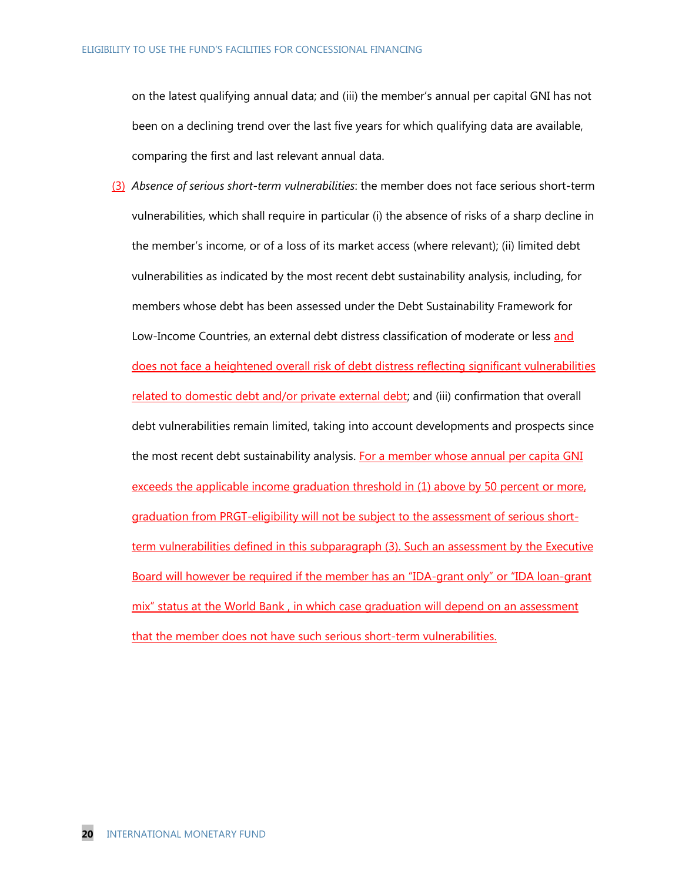on the latest qualifying annual data; and (iii) the member's annual per capital GNI has not been on a declining trend over the last five years for which qualifying data are available, comparing the first and last relevant annual data.

(3) *Absence of serious short-term vulnerabilities*: the member does not face serious short-term vulnerabilities, which shall require in particular (i) the absence of risks of a sharp decline in the member's income, or of a loss of its market access (where relevant); (ii) limited debt vulnerabilities as indicated by the most recent debt sustainability analysis, including, for members whose debt has been assessed under the Debt Sustainability Framework for Low-Income Countries, an external debt distress classification of moderate or less and does not face a heightened overall risk of debt distress reflecting significant vulnerabilities related to domestic debt and/or private external debt; and (iii) confirmation that overall debt vulnerabilities remain limited, taking into account developments and prospects since the most recent debt sustainability analysis. For a member whose annual per capita GNI exceeds the applicable income graduation threshold in (1) above by 50 percent or more, graduation from PRGT-eligibility will not be subject to the assessment of serious shortterm vulnerabilities defined in this subparagraph (3). Such an assessment by the Executive Board will however be required if the member has an "IDA-grant only" or "IDA loan-grant mix" status at the World Bank , in which case graduation will depend on an assessment that the member does not have such serious short-term vulnerabilities.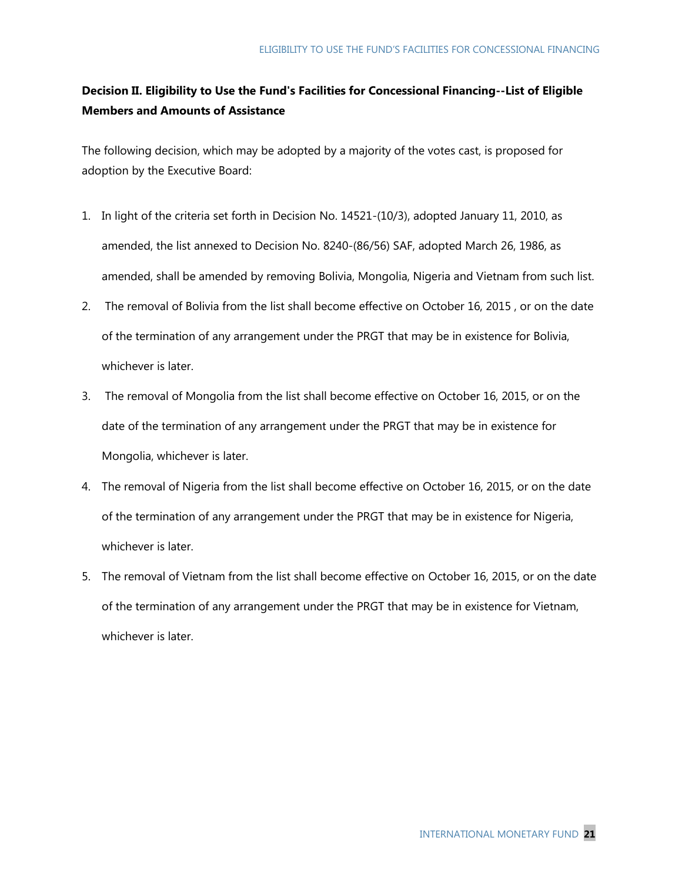### **Decision II. Eligibility to Use the Fund's Facilities for Concessional Financing--List of Eligible Members and Amounts of Assistance**

The following decision, which may be adopted by a majority of the votes cast, is proposed for adoption by the Executive Board:

- 1. In light of the criteria set forth in Decision No. 14521-(10/3), adopted January 11, 2010, as amended, the list annexed to Decision No. 8240-(86/56) SAF, adopted March 26, 1986, as amended, shall be amended by removing Bolivia, Mongolia, Nigeria and Vietnam from such list.
- 2. The removal of Bolivia from the list shall become effective on October 16, 2015 , or on the date of the termination of any arrangement under the PRGT that may be in existence for Bolivia, whichever is later.
- 3. The removal of Mongolia from the list shall become effective on October 16, 2015, or on the date of the termination of any arrangement under the PRGT that may be in existence for Mongolia, whichever is later.
- 4. The removal of Nigeria from the list shall become effective on October 16, 2015, or on the date of the termination of any arrangement under the PRGT that may be in existence for Nigeria, whichever is later.
- 5. The removal of Vietnam from the list shall become effective on October 16, 2015, or on the date of the termination of any arrangement under the PRGT that may be in existence for Vietnam, whichever is later.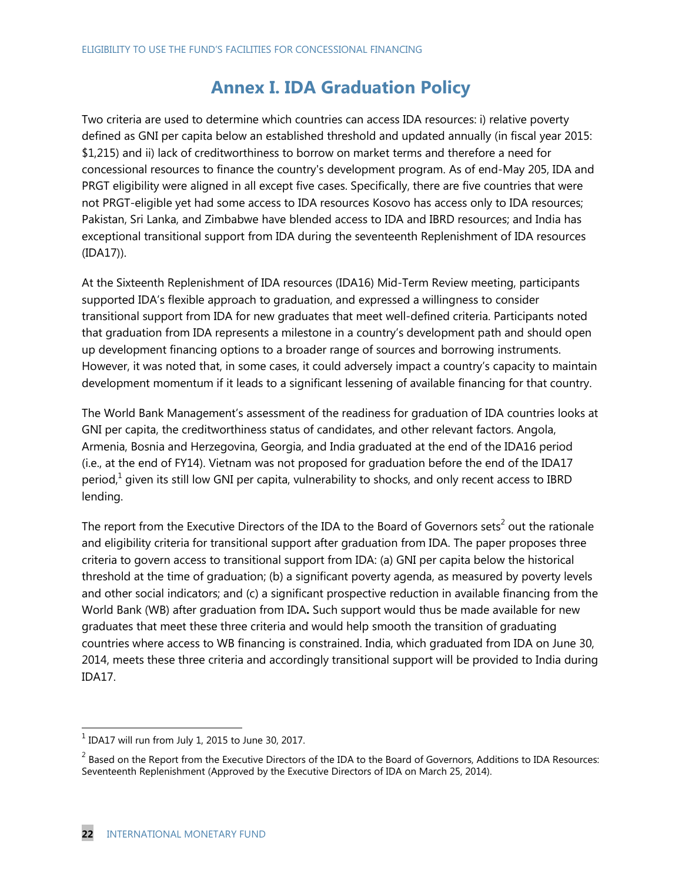## **Annex I. IDA Graduation Policy**

Two criteria are used to determine which countries can access IDA resources: i) relative poverty defined as GNI per capita below an established threshold and updated annually (in fiscal year 2015: \$1,215) and ii) lack of creditworthiness to borrow on market terms and therefore a need for concessional resources to finance the country's development program. As of end-May 205, IDA and PRGT eligibility were aligned in all except five cases. Specifically, there are five countries that were not PRGT-eligible yet had some access to IDA resources Kosovo has access only to IDA resources; Pakistan, Sri Lanka, and Zimbabwe have blended access to IDA and IBRD resources; and India has exceptional transitional support from IDA during the seventeenth Replenishment of IDA resources (IDA17)).

At the Sixteenth Replenishment of IDA resources (IDA16) Mid-Term Review meeting, participants supported IDA's flexible approach to graduation, and expressed a willingness to consider transitional support from IDA for new graduates that meet well-defined criteria. Participants noted that graduation from IDA represents a milestone in a country's development path and should open up development financing options to a broader range of sources and borrowing instruments. However, it was noted that, in some cases, it could adversely impact a country's capacity to maintain development momentum if it leads to a significant lessening of available financing for that country.

The World Bank Management's assessment of the readiness for graduation of IDA countries looks at GNI per capita, the creditworthiness status of candidates, and other relevant factors. Angola, Armenia, Bosnia and Herzegovina, Georgia, and India graduated at the end of the IDA16 period (i.e., at the end of FY14). Vietnam was not proposed for graduation before the end of the IDA17 period,<sup>1</sup> given its still low GNI per capita, vulnerability to shocks, and only recent access to IBRD lending.

The report from the Executive Directors of the IDA to the Board of Governors sets<sup>2</sup> out the rationale and eligibility criteria for transitional support after graduation from IDA. The paper proposes three criteria to govern access to transitional support from IDA: (a) GNI per capita below the historical threshold at the time of graduation; (b) a significant poverty agenda, as measured by poverty levels and other social indicators; and (c) a significant prospective reduction in available financing from the World Bank (WB) after graduation from IDA**.** Such support would thus be made available for new graduates that meet these three criteria and would help smooth the transition of graduating countries where access to WB financing is constrained. India, which graduated from IDA on June 30, 2014, meets these three criteria and accordingly transitional support will be provided to India during IDA17.

 $\overline{a}$ 

 $^1$  IDA17 will run from July 1, 2015 to June 30, 2017.

 $^2$  Based on the Report from the Executive Directors of the IDA to the Board of Governors, Additions to IDA Resources: Seventeenth Replenishment (Approved by the Executive Directors of IDA on March 25, 2014).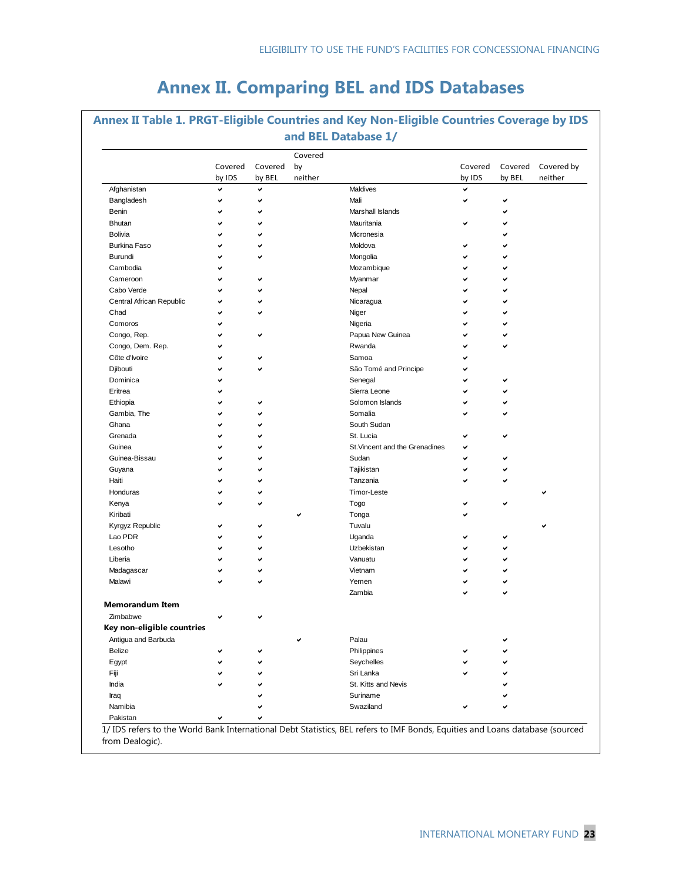## **Annex II. Comparing BEL and IDS Databases**

|                            |                   |                   | Covered       |                                |                   |                   |                       |
|----------------------------|-------------------|-------------------|---------------|--------------------------------|-------------------|-------------------|-----------------------|
|                            | Covered<br>by IDS | Covered<br>by BEL | by<br>neither |                                | Covered<br>by IDS | Covered<br>by BEL | Covered by<br>neither |
| Afghanistan                | ✓                 | ✓                 |               | Maldives                       | ◡                 |                   |                       |
| Bangladesh                 | ✓                 | ✓                 |               | Mali                           | ✓                 | ✓                 |                       |
| Benin                      |                   | ✓                 |               | Marshall Islands               |                   |                   |                       |
| Bhutan                     |                   | ✓                 |               | Mauritania                     |                   |                   |                       |
| Bolivia                    |                   | ✓                 |               | Micronesia                     |                   |                   |                       |
| <b>Burkina Faso</b>        |                   | ✓                 |               | Moldova                        |                   |                   |                       |
| Burundi                    |                   | ✓                 |               | Mongolia                       |                   |                   |                       |
| Cambodia                   |                   |                   |               | Mozambique                     |                   |                   |                       |
| Cameroon                   |                   | ✓                 |               | Myanmar                        |                   | ✓                 |                       |
| Cabo Verde                 |                   |                   |               | Nepal                          |                   | ✓                 |                       |
| Central African Republic   |                   |                   |               | Nicaragua                      |                   |                   |                       |
| Chad                       |                   | ✓                 |               | Niger                          |                   | ✓                 |                       |
| Comoros                    |                   |                   |               | Nigeria                        |                   | ✓                 |                       |
| Congo, Rep.                |                   | ✓                 |               | Papua New Guinea               |                   |                   |                       |
| Congo, Dem. Rep.           |                   |                   |               | Rwanda                         |                   | ✓                 |                       |
| Côte d'Ivoire              |                   | ✓                 |               | Samoa                          |                   |                   |                       |
| Djibouti                   |                   |                   |               | São Tomé and Principe          |                   |                   |                       |
| Dominica                   |                   |                   |               | Senegal                        |                   |                   |                       |
| Eritrea                    |                   |                   |               | Sierra Leone                   | ◡                 | ✓                 |                       |
| Ethiopia                   |                   |                   |               | Solomon Islands                |                   |                   |                       |
| Gambia, The                |                   |                   |               | Somalia                        |                   |                   |                       |
| Ghana                      |                   | ◡                 |               | South Sudan                    |                   |                   |                       |
| Grenada                    |                   |                   |               | St. Lucia                      | ✔                 |                   |                       |
| Guinea                     |                   |                   |               | St. Vincent and the Grenadines | ◡                 |                   |                       |
| Guinea-Bissau              |                   |                   |               | Sudan                          | ✔                 |                   |                       |
| Guyana                     |                   | v                 |               | Tajikistan                     | ✓                 |                   |                       |
| Haiti                      |                   |                   |               | Tanzania                       |                   |                   |                       |
| Honduras                   |                   |                   |               | <b>Timor-Leste</b>             |                   |                   |                       |
| Kenya                      |                   | ✓                 |               | Togo                           |                   | ✓                 |                       |
| Kiribati                   |                   |                   | ◡             | Tonga                          |                   |                   |                       |
| Kyrgyz Republic            |                   | v                 |               | Tuvalu                         |                   |                   |                       |
| Lao PDR                    |                   |                   |               | Uganda                         |                   |                   |                       |
| Lesotho                    |                   |                   |               | Uzbekistan                     |                   |                   |                       |
| Liberia                    |                   |                   |               | Vanuatu                        |                   |                   |                       |
| Madagascar                 |                   | ✓                 |               | Vietnam                        |                   |                   |                       |
| Malawi                     |                   | ◡                 |               | Yemen                          |                   |                   |                       |
|                            |                   |                   |               | Zambia                         |                   |                   |                       |
| <b>Memorandum Item</b>     |                   |                   |               |                                |                   |                   |                       |
| Zimbabwe                   | ✓                 |                   |               |                                |                   |                   |                       |
| Key non-eligible countries |                   |                   |               |                                |                   |                   |                       |
| Antigua and Barbuda        |                   |                   | ✓             | Palau                          |                   |                   |                       |
| Belize                     |                   | ✔                 |               | Philippines                    |                   |                   |                       |
| Egypt                      |                   |                   |               | Seychelles                     |                   |                   |                       |
| Fiji                       |                   |                   |               | Sri Lanka                      |                   |                   |                       |
| India                      |                   |                   |               | St. Kitts and Nevis            |                   |                   |                       |
| Iraq                       |                   |                   |               | Suriname                       |                   |                   |                       |
| Namibia                    |                   |                   |               | Swaziland                      |                   |                   |                       |

1/ IDS refers to the World Bank International Debt Statistics, BEL refers to IMF Bonds, Equities and Loans database (sourced from Dealogic).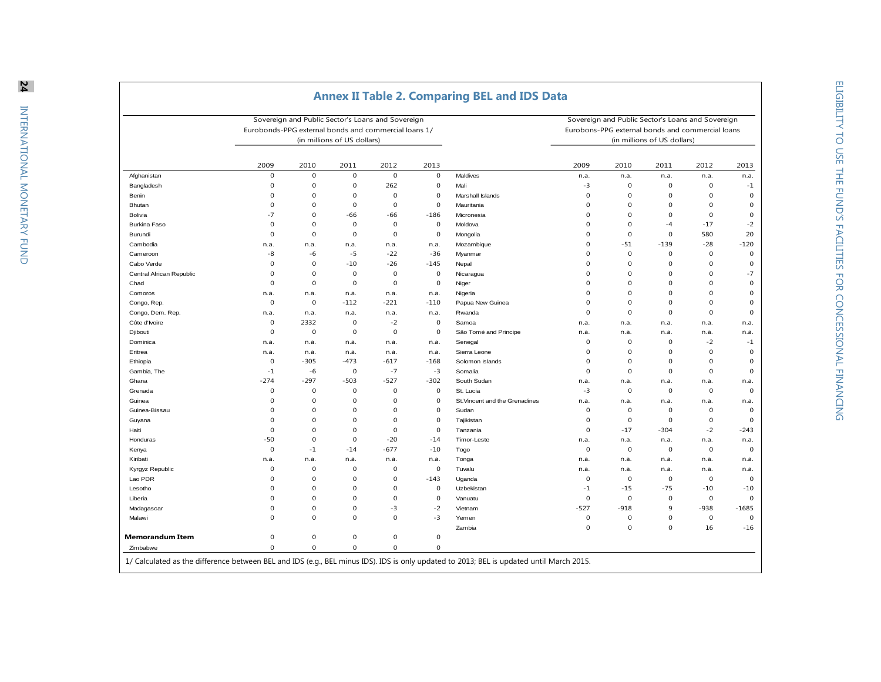|                          |                         |                  |                             | Sovereign and Public Sector's Loans and Sovereign<br>Eurobonds-PPG external bonds and commercial loans 1/ |              |                                |                     | Sovereign and Public Sector's Loans and Sovereign<br>Eurobons-PPG external bonds and commercial loans |                             |                     |                     |
|--------------------------|-------------------------|------------------|-----------------------------|-----------------------------------------------------------------------------------------------------------|--------------|--------------------------------|---------------------|-------------------------------------------------------------------------------------------------------|-----------------------------|---------------------|---------------------|
|                          |                         |                  | (in millions of US dollars) |                                                                                                           |              |                                |                     |                                                                                                       | (in millions of US dollars) |                     |                     |
|                          | 2009                    | 2010             | 2011                        | 2012                                                                                                      | 2013         |                                | 2009                | 2010                                                                                                  | 2011                        | 2012                | 2013                |
| Afghanistan              | $\mathbf 0$             | $\mathbf 0$      | $\mathbf 0$                 | $\mathbf{0}$                                                                                              | $\mathbf{0}$ | Maldives                       | n.a.                | n.a.                                                                                                  | n.a.                        | n.a.                | n.a.                |
| Bangladesh               | $\mathbf 0$             | $\mathbf 0$      | 0                           | 262                                                                                                       | $\mathbf 0$  | Mali                           | -3                  | $\mathbf 0$                                                                                           | $\mathbf 0$                 | $\mathbf 0$         | $-1$                |
| Benin                    | $\mathbf 0$             | $\mathbf 0$      | $\mathbf 0$                 | $\mathbf 0$                                                                                               | $\mathbf 0$  | Marshall Islands               | $\mathbf 0$         | $\mathbf 0$                                                                                           | $\mathbf 0$                 | $\mathbf{0}$        | $\mathbf 0$         |
| Bhutan                   | $\mathbf 0$             | $\mathbf 0$      | $\mathbf 0$                 | $\mathbf{0}$                                                                                              | $\mathbf{0}$ | Mauritania                     | $\mathbf 0$         | $\mathbf 0$                                                                                           | $\mathbf 0$                 | $\mathbf{0}$        | $\mathbf 0$         |
| Bolivia                  | $-7$                    | $\mathbf 0$      | -66                         | -66                                                                                                       | $-186$       | Micronesia                     | $\mathbf 0$         | $\mathbf 0$                                                                                           | $\mathbf 0$                 | $\mathbf 0$         | $\mathbf 0$         |
| Burkina Faso             | $\mathbf 0$             | $\boldsymbol{0}$ | $\mathbf 0$                 | $\mathbf 0$                                                                                               | $\mathbf 0$  | Moldova                        | $\mathbf 0$         | $\mathbf 0$                                                                                           | $-4$                        | $-17$               | $-2$                |
| Burundi                  | $\mathbf 0$             | $\boldsymbol{0}$ | $\mathbf 0$                 | $\mathbf 0$                                                                                               | $\mathbf 0$  | Mongolia                       | $\mathbf 0$         | $\mathbf 0$                                                                                           | $\mathbf 0$                 | 580                 | 20                  |
| Cambodia                 | n.a.                    | n.a.             | n.a.                        | n.a.                                                                                                      | n.a.         | Mozambique                     | $\Omega$            | $-51$                                                                                                 | $-139$                      | $-28$               | $-120$              |
| Cameroon                 | -8                      | $-6$             | $-5$                        | $-22$                                                                                                     | $-36$        | Myanmar                        | $\mathbf 0$         | $\mathbf 0$                                                                                           | $\mathbf 0$                 | $\mathbf 0$         | $\mathbf 0$         |
| Cabo Verde               | $\mathbf 0$             | 0                | $-10$                       | $-26$                                                                                                     | $-145$       | Nepal                          | $\mathbf 0$         | $\mathbf 0$                                                                                           | $\mathbf 0$                 | $\mathbf 0$         | $\mathbf 0$         |
| Central African Republic | $\mathbf 0$             | $\boldsymbol{0}$ | $\mathbf 0$                 | $\mathbf 0$                                                                                               | $\mathbf 0$  | Nicaragua                      | $\mathbf 0$         | $\mathbf 0$                                                                                           | $\mathbf 0$                 | $\mathbf 0$         | $-7$                |
| Chad                     | $\Omega$                | $\mathbf 0$      | $\mathbf 0$                 | $\mathbf 0$                                                                                               | $\mathbf 0$  | Niger                          | $\Omega$            | $\mathbf 0$                                                                                           | $\Omega$                    | $\mathbf 0$         | $\mathbf 0$         |
| Comoros                  | n.a.                    | n.a.             | n.a.                        | n.a.                                                                                                      | n.a.         | Nigeria                        | $\mathbf 0$         | $\mathbf 0$                                                                                           | $\Omega$                    | $\mathbf 0$         | $\mathbf 0$         |
| Congo, Rep.              | $\mathbf 0$             | 0                | $-112$                      | $-221$                                                                                                    | $-110$       | Papua New Guinea               | $\Omega$            | $\mathbf 0$                                                                                           | 0                           | $\mathbf 0$         | $\mathbf 0$         |
| Congo, Dem. Rep.         | n.a.                    | n.a.             | n.a.                        | n.a.                                                                                                      | n.a.         | Rwanda                         | $\mathbf 0$         | $\mathbf 0$                                                                                           | $\mathbf 0$                 | $\mathbf{0}$        | $\mathbf 0$         |
| Côte d'Ivoire            | $\mathbf 0$             | 2332             | $\mathbf 0$                 | $-2$                                                                                                      | $\mathbf 0$  | Samoa                          | n.a.                | n.a.                                                                                                  | n.a.                        | n.a.                | n.a.                |
| Djibouti                 | $\mathbf 0$             | $\boldsymbol{0}$ | $\mathbf 0$                 | $\Omega$                                                                                                  | $\mathbf 0$  | São Tomé and Principe          | n.a.                | n.a.                                                                                                  | n.a.                        | n.a.                | n.a.                |
| Dominica                 | n.a.                    | n.a.             | n.a.                        | n.a.                                                                                                      | n.a.         | Senegal                        | $\mathbf 0$         | $\mathbf 0$                                                                                           | $\mathbf 0$                 | $-2$                | $-1$                |
| Eritrea                  | n.a.                    | n.a.             | n.a.                        | n.a.                                                                                                      | n.a.         | Sierra Leone                   | $\mathbf 0$         | $\mathbf 0$                                                                                           | $\mathbf 0$                 | $\mathbf 0$         | $\mathbf 0$         |
| Ethiopia                 | $\mathbf 0$             | $-305$           | $-473$                      | $-617$                                                                                                    | $-168$       | Solomon Islands                | $\Omega$            | $\Omega$                                                                                              | $\mathbf 0$                 | $\Omega$            | $\mathbf 0$         |
| Gambia, The              | $-1$                    | $-6$             | $\mathbf 0$                 | $-7$                                                                                                      | $-3$         | Somalia                        | $\Omega$            | $\Omega$                                                                                              | $\mathbf 0$                 | $\Omega$            | $\mathbf 0$         |
| Ghana                    | $-274$                  | $-297$           | $-503$                      | $-527$                                                                                                    | $-302$       | South Sudan                    | n.a.                | n.a.                                                                                                  | n.a.                        | n.a.                | n.a.                |
| Grenada                  | $\mathbf 0$             | $\boldsymbol{0}$ | 0                           | $\mathbf 0$                                                                                               | $\mathbf 0$  | St. Lucia                      | $-3$                | $\mathbf 0$                                                                                           | $\mathbf 0$                 | $\mathbf 0$         | $\mathbf 0$         |
| Guinea                   | $\mathbf 0$             | $\mathbf 0$      | $\Omega$                    | $\mathbf{0}$                                                                                              | $\mathbf 0$  | St. Vincent and the Grenadines | n.a.                | n.a.                                                                                                  | n.a.                        | n.a.                | n.a.                |
| Guinea-Bissau            | $\mathbf 0$             | $\mathbf 0$      | $\Omega$                    | $\mathbf{0}$                                                                                              | $\mathbf 0$  | Sudan                          | $\mathbf 0$         | $\mathbf 0$                                                                                           | $\mathbf 0$                 | $\mathbf{0}$        | $\mathbf 0$         |
|                          | $\mathbf 0$             | $\mathbf 0$      | $\Omega$                    | $\mathbf 0$                                                                                               | $\mathbf 0$  |                                | $\mathbf 0$         | $\mathbf 0$                                                                                           | $\mathbf 0$                 | $\mathbf 0$         | $\mathbf 0$         |
| Guyana<br>Haiti          | $\mathbf 0$             | $\mathbf 0$      | $\mathbf 0$                 | $\mathbf 0$                                                                                               | $\mathbf 0$  | Tajikistan<br>Tanzania         | $\mathbf 0$         | $-17$                                                                                                 | $-304$                      | $-2$                | $-243$              |
|                          | $-50$                   | $\mathbf 0$      | $\Omega$                    | $-20$                                                                                                     | $-14$        | Timor-Leste                    |                     |                                                                                                       |                             |                     |                     |
| Honduras                 | $\mathbf 0$             |                  |                             |                                                                                                           |              |                                | n.a.<br>$\mathbf 0$ | n.a.<br>$\mathbf 0$                                                                                   | n.a.                        | n.a.<br>$\mathbf 0$ | n.a.<br>$\mathbf 0$ |
| Kenya                    |                         | $-1$             | $-14$                       | $-677$                                                                                                    | $-10$        | Togo                           |                     |                                                                                                       | $\mathbf 0$                 |                     |                     |
| Kiribati                 | n.a.                    | n.a.             | n.a.                        | n.a.                                                                                                      | n.a.         | Tonga                          | n.a.                | n.a.                                                                                                  | n.a.                        | n.a.                | n.a.                |
| Kyrgyz Republic          | $\mathbf 0$<br>$\Omega$ | 0                | $\mathbf 0$                 | $\mathbf 0$                                                                                               | $\mathbf 0$  | Tuvalu                         | n.a.                | n.a.                                                                                                  | n.a.                        | n.a.                | n.a.<br>$\mathbf 0$ |
| Lao PDR                  |                         | $\mathbf 0$      | $\Omega$                    | $\mathbf 0$                                                                                               | $-143$       | Uganda                         | $\mathbf 0$         | $\mathbf 0$                                                                                           | $\mathbf 0$                 | $\mathbf 0$         |                     |
| Lesotho                  | $\mathbf 0$             | $\mathbf 0$      | $\Omega$                    | $\mathbf 0$                                                                                               | $\mathbf 0$  | Uzbekistan                     | $-1$                | $-15$                                                                                                 | $-75$                       | $-10$               | $-10$               |
| Liberia                  | $\mathbf 0$             | $\bf{0}$         | $\mathbf 0$                 | $\mathbf 0$                                                                                               | $\mathbf 0$  | Vanuatu                        | $\mathbf 0$         | $\mathbf 0$                                                                                           | $\mathbf 0$                 | $\mathsf{O}\xspace$ | $\mathbf 0$         |
| Madagascar               | $\mathbf 0$             | $\bf{0}$         | $\mathbf 0$                 | $-3$                                                                                                      | $-2$         | Vietnam                        | $-527$              | $-918$                                                                                                | 9                           | $-938$              | $-1685$             |
| Malawi                   | $\Omega$                | $\mathbf 0$      | $\Omega$                    | $\mathbf{0}$                                                                                              | $-3$         | Yemen                          | $\mathbf 0$         | $\mathbf 0$                                                                                           | $\mathbf 0$                 | $\mathbf 0$         | $\mathbf 0$         |
|                          |                         |                  |                             |                                                                                                           |              | Zambia                         | $\mathbf 0$         | $\mathbf 0$                                                                                           | $\Omega$                    | 16                  | $-16$               |
| Memorandum Item          | $\mathbf 0$             | $\mathbf 0$      | $\mathbf 0$                 | $\mathbf 0$                                                                                               | $\mathbf 0$  |                                |                     |                                                                                                       |                             |                     |                     |
| Zimbabwe                 | $\mathbf 0$             | $\mathbf 0$      | $\mathbf 0$                 | $\mathbf 0$                                                                                               | $\mathbf 0$  |                                |                     |                                                                                                       |                             |                     |                     |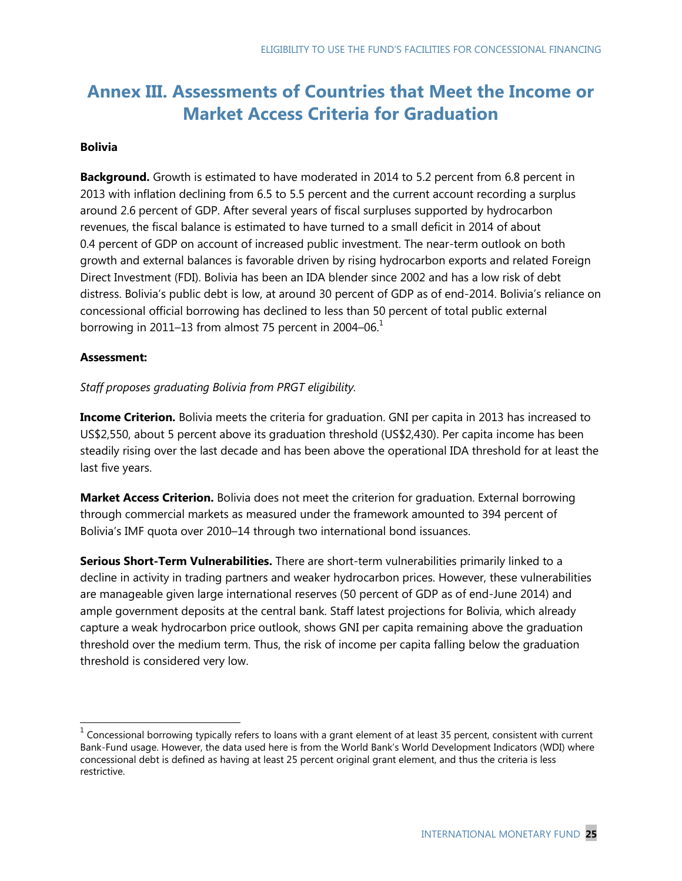## **Annex III. Assessments of Countries that Meet the Income or Market Access Criteria for Graduation**

### **Bolivia**

**Background.** Growth is estimated to have moderated in 2014 to 5.2 percent from 6.8 percent in 2013 with inflation declining from 6.5 to 5.5 percent and the current account recording a surplus around 2.6 percent of GDP. After several years of fiscal surpluses supported by hydrocarbon revenues, the fiscal balance is estimated to have turned to a small deficit in 2014 of about 0.4 percent of GDP on account of increased public investment. The near-term outlook on both growth and external balances is favorable driven by rising hydrocarbon exports and related Foreign Direct Investment (FDI). Bolivia has been an IDA blender since 2002 and has a low risk of debt distress. Bolivia's public debt is low, at around 30 percent of GDP as of end-2014. Bolivia's reliance on concessional official borrowing has declined to less than 50 percent of total public external borrowing in 2011–13 from almost 75 percent in 2004–06. $<sup>1</sup>$ </sup>

### **Assessment:**

*Staff proposes graduating Bolivia from PRGT eligibility.*

**Income Criterion.** Bolivia meets the criteria for graduation. GNI per capita in 2013 has increased to US\$2,550, about 5 percent above its graduation threshold (US\$2,430). Per capita income has been steadily rising over the last decade and has been above the operational IDA threshold for at least the last five years.

**Market Access Criterion.** Bolivia does not meet the criterion for graduation. External borrowing through commercial markets as measured under the framework amounted to 394 percent of Bolivia's IMF quota over 2010–14 through two international bond issuances.

**Serious Short-Term Vulnerabilities.** There are short-term vulnerabilities primarily linked to a decline in activity in trading partners and weaker hydrocarbon prices. However, these vulnerabilities are manageable given large international reserves (50 percent of GDP as of end-June 2014) and ample government deposits at the central bank. Staff latest projections for Bolivia, which already capture a weak hydrocarbon price outlook, shows GNI per capita remaining above the graduation threshold over the medium term. Thus, the risk of income per capita falling below the graduation threshold is considered very low.

 1 Concessional borrowing typically refers to loans with a grant element of at least 35 percent, consistent with current Bank-Fund usage. However, the data used here is from the World Bank's World Development Indicators (WDI) where concessional debt is defined as having at least 25 percent original grant element, and thus the criteria is less restrictive.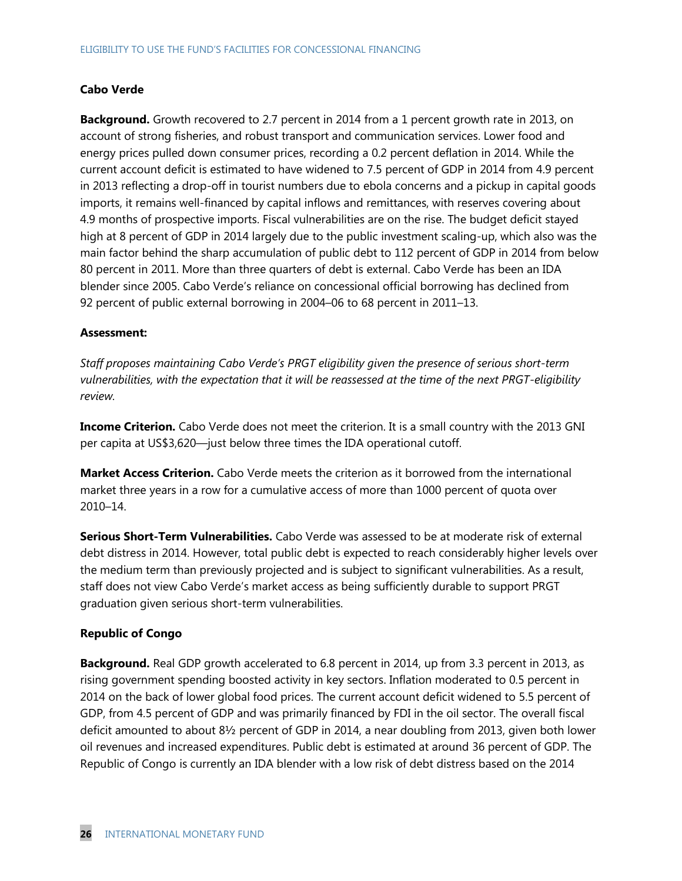### **Cabo Verde**

**Background.** Growth recovered to 2.7 percent in 2014 from a 1 percent growth rate in 2013, on account of strong fisheries, and robust transport and communication services. Lower food and energy prices pulled down consumer prices, recording a 0.2 percent deflation in 2014. While the current account deficit is estimated to have widened to 7.5 percent of GDP in 2014 from 4.9 percent in 2013 reflecting a drop-off in tourist numbers due to ebola concerns and a pickup in capital goods imports, it remains well-financed by capital inflows and remittances, with reserves covering about 4.9 months of prospective imports. Fiscal vulnerabilities are on the rise. The budget deficit stayed high at 8 percent of GDP in 2014 largely due to the public investment scaling-up, which also was the main factor behind the sharp accumulation of public debt to 112 percent of GDP in 2014 from below 80 percent in 2011. More than three quarters of debt is external. Cabo Verde has been an IDA blender since 2005. Cabo Verde's reliance on concessional official borrowing has declined from 92 percent of public external borrowing in 2004–06 to 68 percent in 2011–13.

### **Assessment:**

*Staff proposes maintaining Cabo Verde's PRGT eligibility given the presence of serious short-term vulnerabilities, with the expectation that it will be reassessed at the time of the next PRGT-eligibility review.*

**Income Criterion.** Cabo Verde does not meet the criterion. It is a small country with the 2013 GNI per capita at US\$3,620—just below three times the IDA operational cutoff.

**Market Access Criterion.** Cabo Verde meets the criterion as it borrowed from the international market three years in a row for a cumulative access of more than 1000 percent of quota over 2010–14.

**Serious Short-Term Vulnerabilities.** Cabo Verde was assessed to be at moderate risk of external debt distress in 2014. However, total public debt is expected to reach considerably higher levels over the medium term than previously projected and is subject to significant vulnerabilities. As a result, staff does not view Cabo Verde's market access as being sufficiently durable to support PRGT graduation given serious short-term vulnerabilities.

### **Republic of Congo**

**Background.** Real GDP growth accelerated to 6.8 percent in 2014, up from 3.3 percent in 2013, as rising government spending boosted activity in key sectors. Inflation moderated to 0.5 percent in 2014 on the back of lower global food prices. The current account deficit widened to 5.5 percent of GDP, from 4.5 percent of GDP and was primarily financed by FDI in the oil sector. The overall fiscal deficit amounted to about 8½ percent of GDP in 2014, a near doubling from 2013, given both lower oil revenues and increased expenditures. Public debt is estimated at around 36 percent of GDP. The Republic of Congo is currently an IDA blender with a low risk of debt distress based on the 2014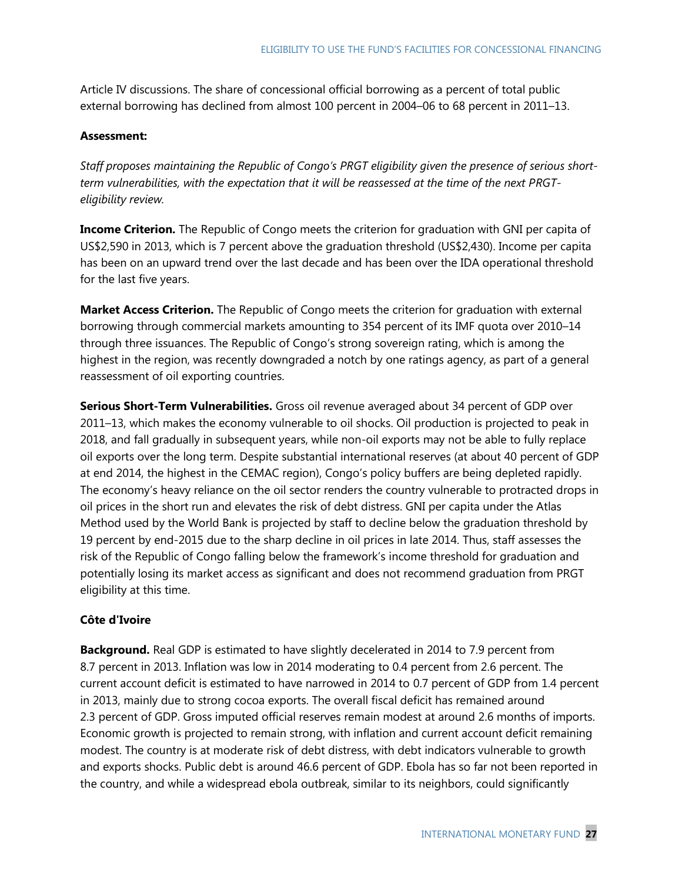Article IV discussions. The share of concessional official borrowing as a percent of total public external borrowing has declined from almost 100 percent in 2004–06 to 68 percent in 2011–13.

### **Assessment:**

*Staff proposes maintaining the Republic of Congo's PRGT eligibility given the presence of serious shortterm vulnerabilities, with the expectation that it will be reassessed at the time of the next PRGTeligibility review.*

**Income Criterion.** The Republic of Congo meets the criterion for graduation with GNI per capita of US\$2,590 in 2013, which is 7 percent above the graduation threshold (US\$2,430). Income per capita has been on an upward trend over the last decade and has been over the IDA operational threshold for the last five years.

**Market Access Criterion.** The Republic of Congo meets the criterion for graduation with external borrowing through commercial markets amounting to 354 percent of its IMF quota over 2010–14 through three issuances. The Republic of Congo's strong sovereign rating, which is among the highest in the region, was recently downgraded a notch by one ratings agency, as part of a general reassessment of oil exporting countries.

**Serious Short-Term Vulnerabilities.** Gross oil revenue averaged about 34 percent of GDP over 2011–13, which makes the economy vulnerable to oil shocks. Oil production is projected to peak in 2018, and fall gradually in subsequent years, while non-oil exports may not be able to fully replace oil exports over the long term. Despite substantial international reserves (at about 40 percent of GDP at end 2014, the highest in the CEMAC region), Congo's policy buffers are being depleted rapidly. The economy's heavy reliance on the oil sector renders the country vulnerable to protracted drops in oil prices in the short run and elevates the risk of debt distress. GNI per capita under the Atlas Method used by the World Bank is projected by staff to decline below the graduation threshold by 19 percent by end-2015 due to the sharp decline in oil prices in late 2014. Thus, staff assesses the risk of the Republic of Congo falling below the framework's income threshold for graduation and potentially losing its market access as significant and does not recommend graduation from PRGT eligibility at this time.

### **Côte d'Ivoire**

**Background.** Real GDP is estimated to have slightly decelerated in 2014 to 7.9 percent from 8.7 percent in 2013. Inflation was low in 2014 moderating to 0.4 percent from 2.6 percent. The current account deficit is estimated to have narrowed in 2014 to 0.7 percent of GDP from 1.4 percent in 2013, mainly due to strong cocoa exports. The overall fiscal deficit has remained around 2.3 percent of GDP. Gross imputed official reserves remain modest at around 2.6 months of imports. Economic growth is projected to remain strong, with inflation and current account deficit remaining modest. The country is at moderate risk of debt distress, with debt indicators vulnerable to growth and exports shocks. Public debt is around 46.6 percent of GDP. Ebola has so far not been reported in the country, and while a widespread ebola outbreak, similar to its neighbors, could significantly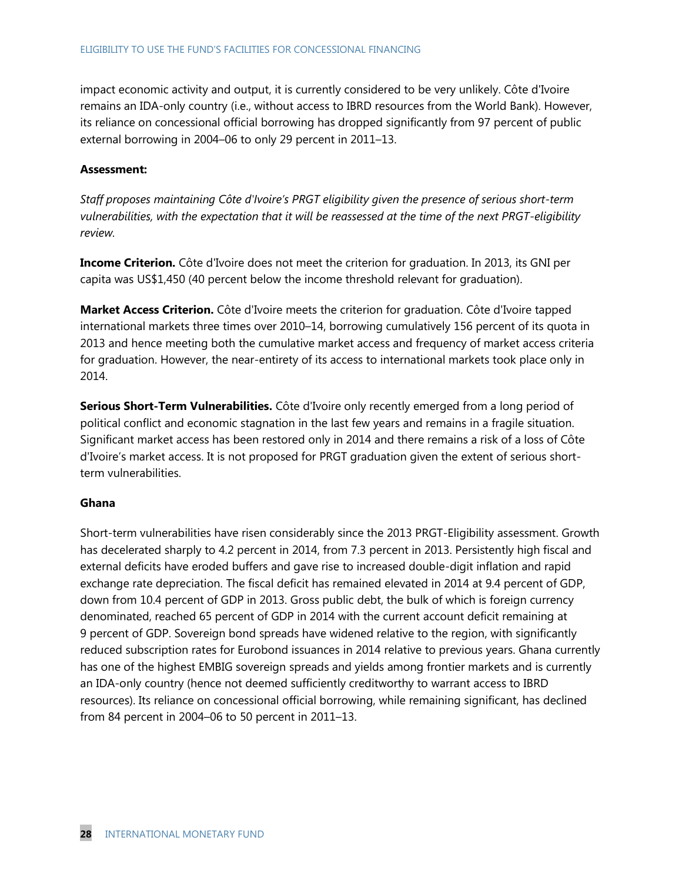impact economic activity and output, it is currently considered to be very unlikely. Côte d'Ivoire remains an IDA-only country (i.e., without access to IBRD resources from the World Bank). However, its reliance on concessional official borrowing has dropped significantly from 97 percent of public external borrowing in 2004–06 to only 29 percent in 2011–13.

### **Assessment:**

*Staff proposes maintaining Côte d'Ivoire's PRGT eligibility given the presence of serious short-term vulnerabilities, with the expectation that it will be reassessed at the time of the next PRGT-eligibility review.*

**Income Criterion.** Côte d'Ivoire does not meet the criterion for graduation. In 2013, its GNI per capita was US\$1,450 (40 percent below the income threshold relevant for graduation).

**Market Access Criterion.** Côte d'Ivoire meets the criterion for graduation. Côte d'Ivoire tapped international markets three times over 2010–14, borrowing cumulatively 156 percent of its quota in 2013 and hence meeting both the cumulative market access and frequency of market access criteria for graduation. However, the near-entirety of its access to international markets took place only in 2014.

**Serious Short-Term Vulnerabilities.** Côte d'Ivoire only recently emerged from a long period of political conflict and economic stagnation in the last few years and remains in a fragile situation. Significant market access has been restored only in 2014 and there remains a risk of a loss of Côte d'Ivoire's market access. It is not proposed for PRGT graduation given the extent of serious shortterm vulnerabilities.

### **Ghana**

Short-term vulnerabilities have risen considerably since the 2013 PRGT-Eligibility assessment. Growth has decelerated sharply to 4.2 percent in 2014, from 7.3 percent in 2013. Persistently high fiscal and external deficits have eroded buffers and gave rise to increased double-digit inflation and rapid exchange rate depreciation. The fiscal deficit has remained elevated in 2014 at 9.4 percent of GDP, down from 10.4 percent of GDP in 2013. Gross public debt, the bulk of which is foreign currency denominated, reached 65 percent of GDP in 2014 with the current account deficit remaining at 9 percent of GDP. Sovereign bond spreads have widened relative to the region, with significantly reduced subscription rates for Eurobond issuances in 2014 relative to previous years. Ghana currently has one of the highest EMBIG sovereign spreads and yields among frontier markets and is currently an IDA-only country (hence not deemed sufficiently creditworthy to warrant access to IBRD resources). Its reliance on concessional official borrowing, while remaining significant, has declined from 84 percent in 2004–06 to 50 percent in 2011–13.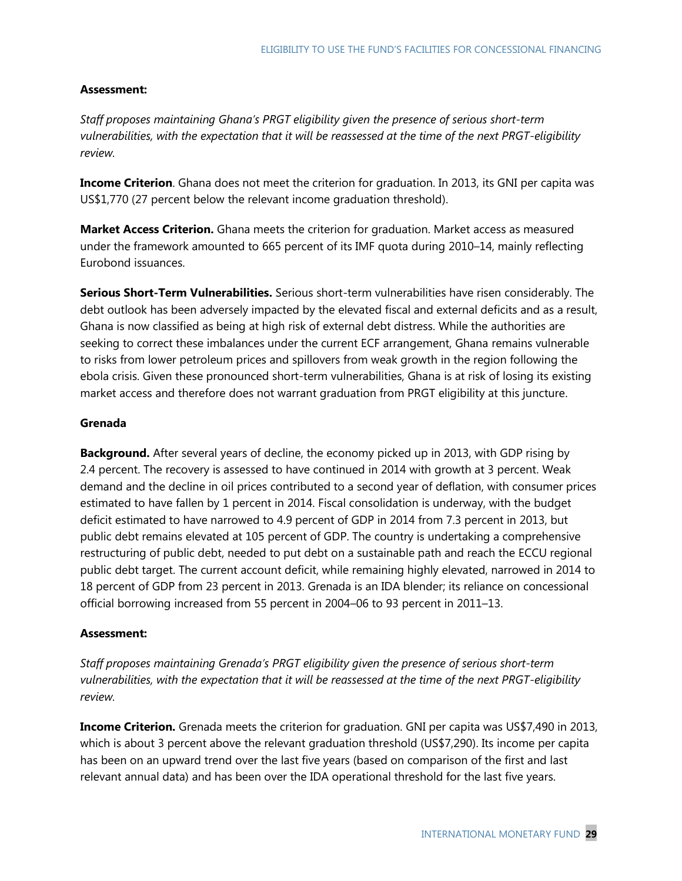### **Assessment:**

*Staff proposes maintaining Ghana's PRGT eligibility given the presence of serious short-term vulnerabilities, with the expectation that it will be reassessed at the time of the next PRGT-eligibility review.*

**Income Criterion**. Ghana does not meet the criterion for graduation. In 2013, its GNI per capita was US\$1,770 (27 percent below the relevant income graduation threshold).

**Market Access Criterion.** Ghana meets the criterion for graduation. Market access as measured under the framework amounted to 665 percent of its IMF quota during 2010–14, mainly reflecting Eurobond issuances.

**Serious Short-Term Vulnerabilities.** Serious short-term vulnerabilities have risen considerably. The debt outlook has been adversely impacted by the elevated fiscal and external deficits and as a result, Ghana is now classified as being at high risk of external debt distress. While the authorities are seeking to correct these imbalances under the current ECF arrangement, Ghana remains vulnerable to risks from lower petroleum prices and spillovers from weak growth in the region following the ebola crisis. Given these pronounced short-term vulnerabilities, Ghana is at risk of losing its existing market access and therefore does not warrant graduation from PRGT eligibility at this juncture.

### **Grenada**

**Background.** After several years of decline, the economy picked up in 2013, with GDP rising by 2.4 percent. The recovery is assessed to have continued in 2014 with growth at 3 percent. Weak demand and the decline in oil prices contributed to a second year of deflation, with consumer prices estimated to have fallen by 1 percent in 2014. Fiscal consolidation is underway, with the budget deficit estimated to have narrowed to 4.9 percent of GDP in 2014 from 7.3 percent in 2013, but public debt remains elevated at 105 percent of GDP. The country is undertaking a comprehensive restructuring of public debt, needed to put debt on a sustainable path and reach the ECCU regional public debt target. The current account deficit, while remaining highly elevated, narrowed in 2014 to 18 percent of GDP from 23 percent in 2013. Grenada is an IDA blender; its reliance on concessional official borrowing increased from 55 percent in 2004–06 to 93 percent in 2011–13.

### **Assessment:**

*Staff proposes maintaining Grenada's PRGT eligibility given the presence of serious short-term vulnerabilities, with the expectation that it will be reassessed at the time of the next PRGT-eligibility review.*

**Income Criterion.** Grenada meets the criterion for graduation. GNI per capita was US\$7,490 in 2013, which is about 3 percent above the relevant graduation threshold (US\$7,290). Its income per capita has been on an upward trend over the last five years (based on comparison of the first and last relevant annual data) and has been over the IDA operational threshold for the last five years.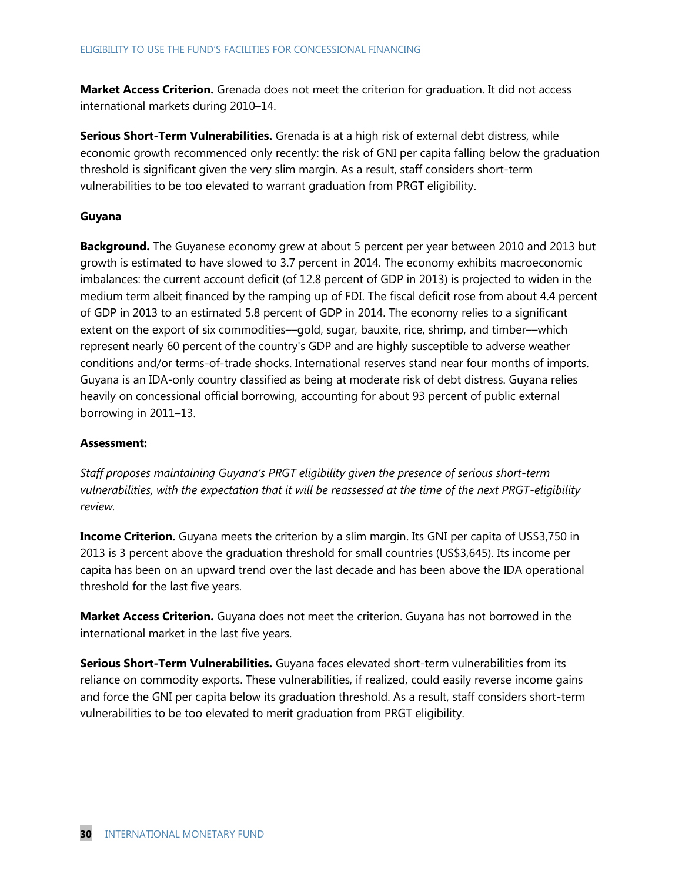**Market Access Criterion.** Grenada does not meet the criterion for graduation. It did not access international markets during 2010–14.

**Serious Short-Term Vulnerabilities.** Grenada is at a high risk of external debt distress, while economic growth recommenced only recently: the risk of GNI per capita falling below the graduation threshold is significant given the very slim margin. As a result, staff considers short-term vulnerabilities to be too elevated to warrant graduation from PRGT eligibility.

### **Guyana**

**Background.** The Guyanese economy grew at about 5 percent per year between 2010 and 2013 but growth is estimated to have slowed to 3.7 percent in 2014. The economy exhibits macroeconomic imbalances: the current account deficit (of 12.8 percent of GDP in 2013) is projected to widen in the medium term albeit financed by the ramping up of FDI. The fiscal deficit rose from about 4.4 percent of GDP in 2013 to an estimated 5.8 percent of GDP in 2014. The economy relies to a significant extent on the export of six commodities—gold, sugar, bauxite, rice, shrimp, and timber—which represent nearly 60 percent of the country's GDP and are highly susceptible to adverse weather conditions and/or terms-of-trade shocks. International reserves stand near four months of imports. Guyana is an IDA-only country classified as being at moderate risk of debt distress. Guyana relies heavily on concessional official borrowing, accounting for about 93 percent of public external borrowing in 2011–13.

### **Assessment:**

*Staff proposes maintaining Guyana's PRGT eligibility given the presence of serious short-term vulnerabilities, with the expectation that it will be reassessed at the time of the next PRGT-eligibility review.*

**Income Criterion.** Guyana meets the criterion by a slim margin. Its GNI per capita of US\$3,750 in 2013 is 3 percent above the graduation threshold for small countries (US\$3,645). Its income per capita has been on an upward trend over the last decade and has been above the IDA operational threshold for the last five years.

**Market Access Criterion.** Guyana does not meet the criterion. Guyana has not borrowed in the international market in the last five years.

**Serious Short-Term Vulnerabilities.** Guyana faces elevated short-term vulnerabilities from its reliance on commodity exports. These vulnerabilities, if realized, could easily reverse income gains and force the GNI per capita below its graduation threshold. As a result, staff considers short-term vulnerabilities to be too elevated to merit graduation from PRGT eligibility.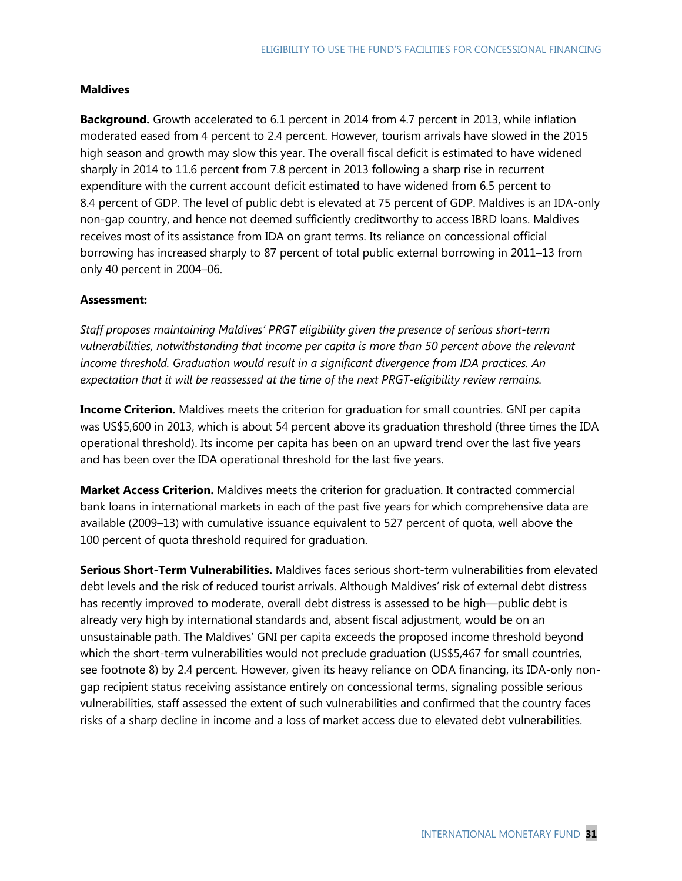### **Maldives**

**Background.** Growth accelerated to 6.1 percent in 2014 from 4.7 percent in 2013, while inflation moderated eased from 4 percent to 2.4 percent. However, tourism arrivals have slowed in the 2015 high season and growth may slow this year. The overall fiscal deficit is estimated to have widened sharply in 2014 to 11.6 percent from 7.8 percent in 2013 following a sharp rise in recurrent expenditure with the current account deficit estimated to have widened from 6.5 percent to 8.4 percent of GDP. The level of public debt is elevated at 75 percent of GDP. Maldives is an IDA-only non-gap country, and hence not deemed sufficiently creditworthy to access IBRD loans. Maldives receives most of its assistance from IDA on grant terms. Its reliance on concessional official borrowing has increased sharply to 87 percent of total public external borrowing in 2011–13 from only 40 percent in 2004–06.

### **Assessment:**

*Staff proposes maintaining Maldives' PRGT eligibility given the presence of serious short-term vulnerabilities, notwithstanding that income per capita is more than 50 percent above the relevant income threshold. Graduation would result in a significant divergence from IDA practices. An expectation that it will be reassessed at the time of the next PRGT-eligibility review remains.*

**Income Criterion.** Maldives meets the criterion for graduation for small countries. GNI per capita was US\$5,600 in 2013, which is about 54 percent above its graduation threshold (three times the IDA operational threshold). Its income per capita has been on an upward trend over the last five years and has been over the IDA operational threshold for the last five years.

**Market Access Criterion.** Maldives meets the criterion for graduation. It contracted commercial bank loans in international markets in each of the past five years for which comprehensive data are available (2009–13) with cumulative issuance equivalent to 527 percent of quota, well above the 100 percent of quota threshold required for graduation.

**Serious Short-Term Vulnerabilities.** Maldives faces serious short-term vulnerabilities from elevated debt levels and the risk of reduced tourist arrivals. Although Maldives' risk of external debt distress has recently improved to moderate, overall debt distress is assessed to be high—public debt is already very high by international standards and, absent fiscal adjustment, would be on an unsustainable path. The Maldives' GNI per capita exceeds the proposed income threshold beyond which the short-term vulnerabilities would not preclude graduation (US\$5,467 for small countries, see footnote 8) by 2.4 percent. However, given its heavy reliance on ODA financing, its IDA-only nongap recipient status receiving assistance entirely on concessional terms, signaling possible serious vulnerabilities, staff assessed the extent of such vulnerabilities and confirmed that the country faces risks of a sharp decline in income and a loss of market access due to elevated debt vulnerabilities.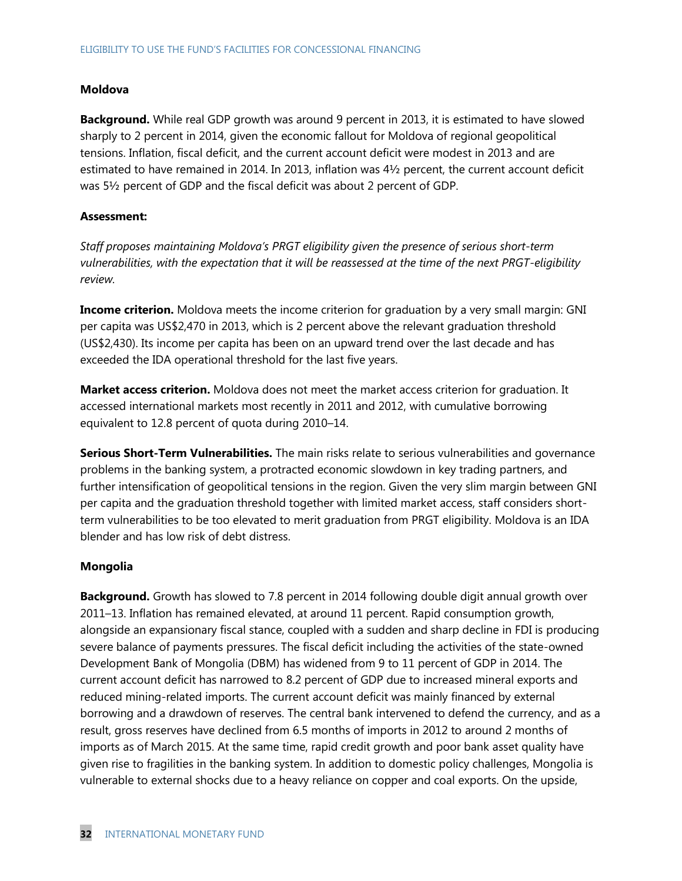### **Moldova**

**Background.** While real GDP growth was around 9 percent in 2013, it is estimated to have slowed sharply to 2 percent in 2014, given the economic fallout for Moldova of regional geopolitical tensions. Inflation, fiscal deficit, and the current account deficit were modest in 2013 and are estimated to have remained in 2014. In 2013, inflation was 4½ percent, the current account deficit was 5½ percent of GDP and the fiscal deficit was about 2 percent of GDP.

### **Assessment:**

*Staff proposes maintaining Moldova's PRGT eligibility given the presence of serious short-term vulnerabilities, with the expectation that it will be reassessed at the time of the next PRGT-eligibility review.*

**Income criterion.** Moldova meets the income criterion for graduation by a very small margin: GNI per capita was US\$2,470 in 2013, which is 2 percent above the relevant graduation threshold (US\$2,430). Its income per capita has been on an upward trend over the last decade and has exceeded the IDA operational threshold for the last five years.

**Market access criterion.** Moldova does not meet the market access criterion for graduation. It accessed international markets most recently in 2011 and 2012, with cumulative borrowing equivalent to 12.8 percent of quota during 2010–14.

**Serious Short-Term Vulnerabilities.** The main risks relate to serious vulnerabilities and governance problems in the banking system, a protracted economic slowdown in key trading partners, and further intensification of geopolitical tensions in the region. Given the very slim margin between GNI per capita and the graduation threshold together with limited market access, staff considers shortterm vulnerabilities to be too elevated to merit graduation from PRGT eligibility. Moldova is an IDA blender and has low risk of debt distress.

#### **Mongolia**

**Background.** Growth has slowed to 7.8 percent in 2014 following double digit annual growth over 2011–13. Inflation has remained elevated, at around 11 percent. Rapid consumption growth, alongside an expansionary fiscal stance, coupled with a sudden and sharp decline in FDI is producing severe balance of payments pressures. The fiscal deficit including the activities of the state-owned Development Bank of Mongolia (DBM) has widened from 9 to 11 percent of GDP in 2014. The current account deficit has narrowed to 8.2 percent of GDP due to increased mineral exports and reduced mining-related imports. The current account deficit was mainly financed by external borrowing and a drawdown of reserves. The central bank intervened to defend the currency, and as a result, gross reserves have declined from 6.5 months of imports in 2012 to around 2 months of imports as of March 2015. At the same time, rapid credit growth and poor bank asset quality have given rise to fragilities in the banking system. In addition to domestic policy challenges, Mongolia is vulnerable to external shocks due to a heavy reliance on copper and coal exports. On the upside,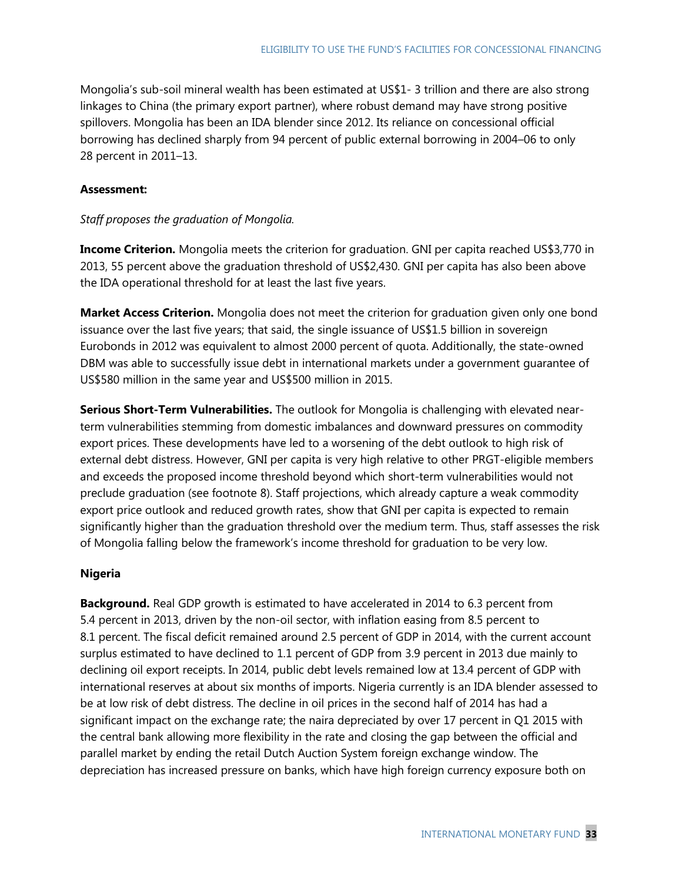Mongolia's sub-soil mineral wealth has been estimated at US\$1- 3 trillion and there are also strong linkages to China (the primary export partner), where robust demand may have strong positive spillovers. Mongolia has been an IDA blender since 2012. Its reliance on concessional official borrowing has declined sharply from 94 percent of public external borrowing in 2004–06 to only 28 percent in 2011–13.

### **Assessment:**

### *Staff proposes the graduation of Mongolia.*

**Income Criterion.** Mongolia meets the criterion for graduation. GNI per capita reached US\$3,770 in 2013, 55 percent above the graduation threshold of US\$2,430. GNI per capita has also been above the IDA operational threshold for at least the last five years.

**Market Access Criterion.** Mongolia does not meet the criterion for graduation given only one bond issuance over the last five years; that said, the single issuance of US\$1.5 billion in sovereign Eurobonds in 2012 was equivalent to almost 2000 percent of quota. Additionally, the state-owned DBM was able to successfully issue debt in international markets under a government guarantee of US\$580 million in the same year and US\$500 million in 2015.

**Serious Short-Term Vulnerabilities.** The outlook for Mongolia is challenging with elevated nearterm vulnerabilities stemming from domestic imbalances and downward pressures on commodity export prices. These developments have led to a worsening of the debt outlook to high risk of external debt distress. However, GNI per capita is very high relative to other PRGT-eligible members and exceeds the proposed income threshold beyond which short-term vulnerabilities would not preclude graduation (see footnote 8). Staff projections, which already capture a weak commodity export price outlook and reduced growth rates, show that GNI per capita is expected to remain significantly higher than the graduation threshold over the medium term. Thus, staff assesses the risk of Mongolia falling below the framework's income threshold for graduation to be very low.

### **Nigeria**

**Background.** Real GDP growth is estimated to have accelerated in 2014 to 6.3 percent from 5.4 percent in 2013, driven by the non-oil sector, with inflation easing from 8.5 percent to 8.1 percent. The fiscal deficit remained around 2.5 percent of GDP in 2014, with the current account surplus estimated to have declined to 1.1 percent of GDP from 3.9 percent in 2013 due mainly to declining oil export receipts. In 2014, public debt levels remained low at 13.4 percent of GDP with international reserves at about six months of imports. Nigeria currently is an IDA blender assessed to be at low risk of debt distress. The decline in oil prices in the second half of 2014 has had a significant impact on the exchange rate; the naira depreciated by over 17 percent in Q1 2015 with the central bank allowing more flexibility in the rate and closing the gap between the official and parallel market by ending the retail Dutch Auction System foreign exchange window. The depreciation has increased pressure on banks, which have high foreign currency exposure both on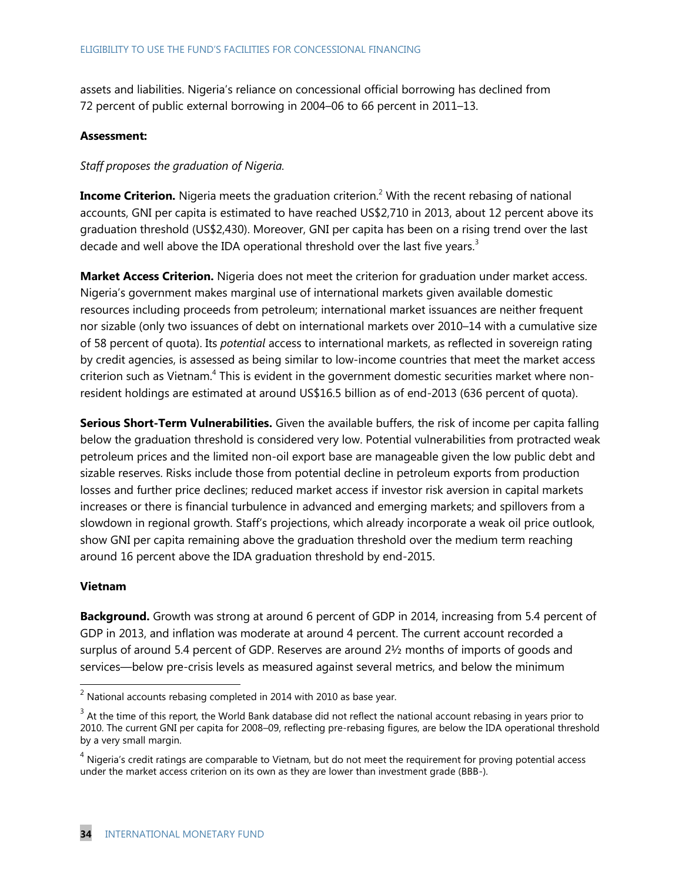assets and liabilities. Nigeria's reliance on concessional official borrowing has declined from 72 percent of public external borrowing in 2004–06 to 66 percent in 2011–13.

### **Assessment:**

### *Staff proposes the graduation of Nigeria.*

**Income Criterion.** Nigeria meets the graduation criterion.<sup>2</sup> With the recent rebasing of national accounts, GNI per capita is estimated to have reached US\$2,710 in 2013, about 12 percent above its graduation threshold (US\$2,430). Moreover, GNI per capita has been on a rising trend over the last decade and well above the IDA operational threshold over the last five years.<sup>3</sup>

**Market Access Criterion.** Nigeria does not meet the criterion for graduation under market access. Nigeria's government makes marginal use of international markets given available domestic resources including proceeds from petroleum; international market issuances are neither frequent nor sizable (only two issuances of debt on international markets over 2010–14 with a cumulative size of 58 percent of quota). Its *potential* access to international markets, as reflected in sovereign rating by credit agencies, is assessed as being similar to low-income countries that meet the market access criterion such as Vietnam.<sup>4</sup> This is evident in the government domestic securities market where nonresident holdings are estimated at around US\$16.5 billion as of end-2013 (636 percent of quota).

**Serious Short-Term Vulnerabilities.** Given the available buffers, the risk of income per capita falling below the graduation threshold is considered very low. Potential vulnerabilities from protracted weak petroleum prices and the limited non-oil export base are manageable given the low public debt and sizable reserves. Risks include those from potential decline in petroleum exports from production losses and further price declines; reduced market access if investor risk aversion in capital markets increases or there is financial turbulence in advanced and emerging markets; and spillovers from a slowdown in regional growth. Staff's projections, which already incorporate a weak oil price outlook, show GNI per capita remaining above the graduation threshold over the medium term reaching around 16 percent above the IDA graduation threshold by end-2015.

### **Vietnam**

 $\overline{\phantom{a}}$ 

**Background.** Growth was strong at around 6 percent of GDP in 2014, increasing from 5.4 percent of GDP in 2013, and inflation was moderate at around 4 percent. The current account recorded a surplus of around 5.4 percent of GDP. Reserves are around 2½ months of imports of goods and services—below pre-crisis levels as measured against several metrics, and below the minimum

 $2$  National accounts rebasing completed in 2014 with 2010 as base year.

 $3$  At the time of this report, the World Bank database did not reflect the national account rebasing in years prior to 2010. The current GNI per capita for 2008–09, reflecting pre-rebasing figures, are below the IDA operational threshold by a very small margin.

 $4$  Nigeria's credit ratings are comparable to Vietnam, but do not meet the requirement for proving potential access under the market access criterion on its own as they are lower than investment grade (BBB-).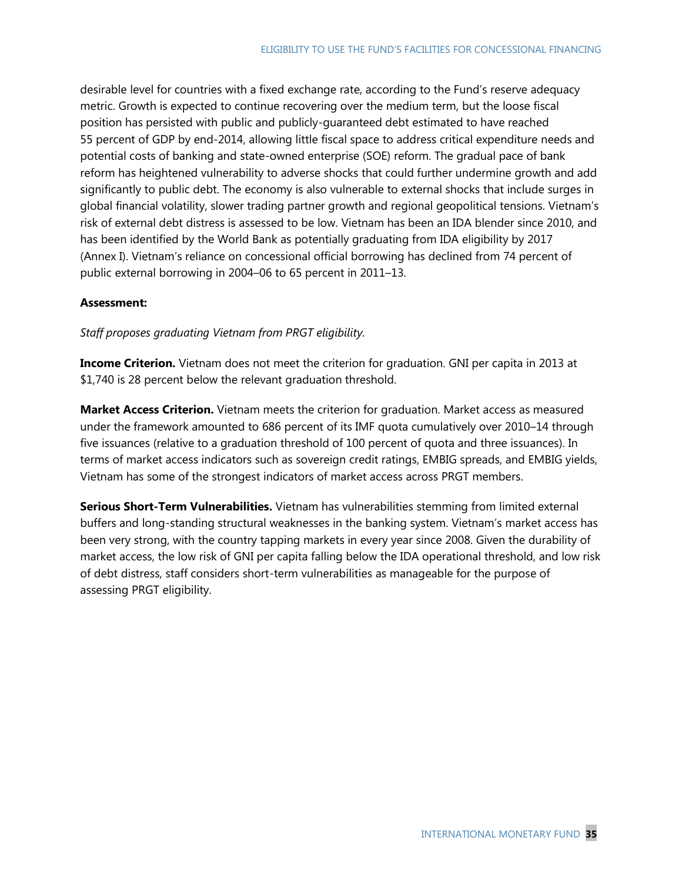desirable level for countries with a fixed exchange rate, according to the Fund's reserve adequacy metric. Growth is expected to continue recovering over the medium term, but the loose fiscal position has persisted with public and publicly-guaranteed debt estimated to have reached 55 percent of GDP by end-2014, allowing little fiscal space to address critical expenditure needs and potential costs of banking and state-owned enterprise (SOE) reform. The gradual pace of bank reform has heightened vulnerability to adverse shocks that could further undermine growth and add significantly to public debt. The economy is also vulnerable to external shocks that include surges in global financial volatility, slower trading partner growth and regional geopolitical tensions. Vietnam's risk of external debt distress is assessed to be low. Vietnam has been an IDA blender since 2010, and has been identified by the World Bank as potentially graduating from IDA eligibility by 2017 (Annex I). Vietnam's reliance on concessional official borrowing has declined from 74 percent of public external borrowing in 2004–06 to 65 percent in 2011–13.

### **Assessment:**

*Staff proposes graduating Vietnam from PRGT eligibility.*

**Income Criterion.** Vietnam does not meet the criterion for graduation. GNI per capita in 2013 at \$1,740 is 28 percent below the relevant graduation threshold.

**Market Access Criterion.** Vietnam meets the criterion for graduation. Market access as measured under the framework amounted to 686 percent of its IMF quota cumulatively over 2010–14 through five issuances (relative to a graduation threshold of 100 percent of quota and three issuances). In terms of market access indicators such as sovereign credit ratings, EMBIG spreads, and EMBIG yields, Vietnam has some of the strongest indicators of market access across PRGT members.

**Serious Short-Term Vulnerabilities.** Vietnam has vulnerabilities stemming from limited external buffers and long-standing structural weaknesses in the banking system. Vietnam's market access has been very strong, with the country tapping markets in every year since 2008. Given the durability of market access, the low risk of GNI per capita falling below the IDA operational threshold, and low risk of debt distress, staff considers short-term vulnerabilities as manageable for the purpose of assessing PRGT eligibility.